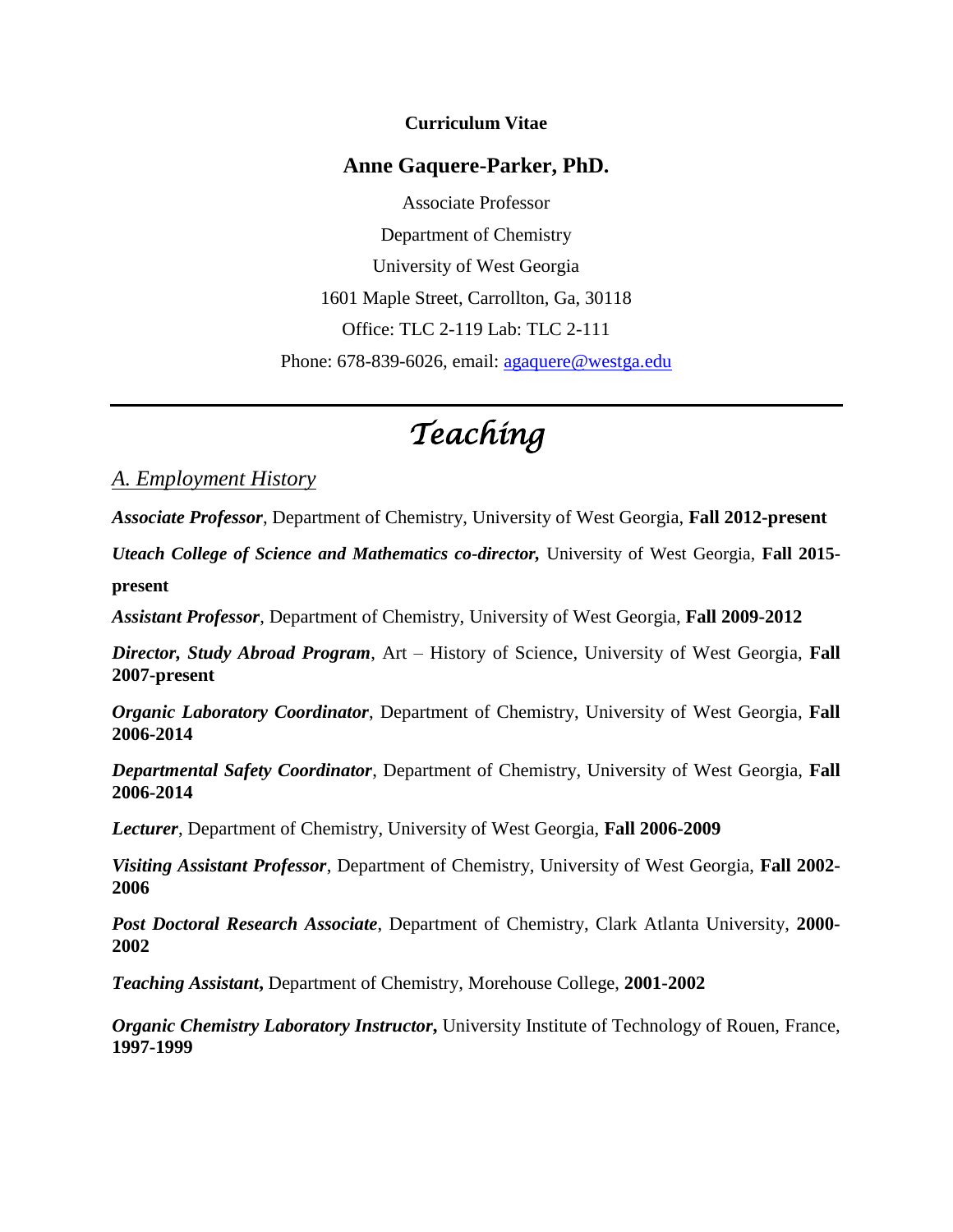#### **Curriculum Vitae**

#### **Anne Gaquere-Parker, PhD.**

Associate Professor Department of Chemistry University of West Georgia 1601 Maple Street, Carrollton, Ga, 30118 Office: TLC 2-119 Lab: TLC 2-111 Phone: 678-839-6026, email: [agaquere@westga.edu](mailto:agaquere@westga.edu)

# *Teaching*

#### *A. Employment History*

*Associate Professor*, Department of Chemistry, University of West Georgia, **Fall 2012-present**

*Uteach College of Science and Mathematics co-director,* University of West Georgia, **Fall 2015 present**

*Assistant Professor*, Department of Chemistry, University of West Georgia, **Fall 2009-2012**

*Director, Study Abroad Program*, Art – History of Science, University of West Georgia, **Fall 2007-present**

*Organic Laboratory Coordinator*, Department of Chemistry, University of West Georgia, **Fall 2006-2014**

*Departmental Safety Coordinator*, Department of Chemistry, University of West Georgia, **Fall 2006-2014**

*Lecturer*, Department of Chemistry, University of West Georgia, **Fall 2006-2009**

*Visiting Assistant Professor*, Department of Chemistry, University of West Georgia, **Fall 2002- 2006**

*Post Doctoral Research Associate*, Department of Chemistry, Clark Atlanta University, **2000- 2002**

*Teaching Assistant***,** Department of Chemistry, Morehouse College, **2001-2002**

*Organic Chemistry Laboratory Instructor*, University Institute of Technology of Rouen, France, **1997-1999**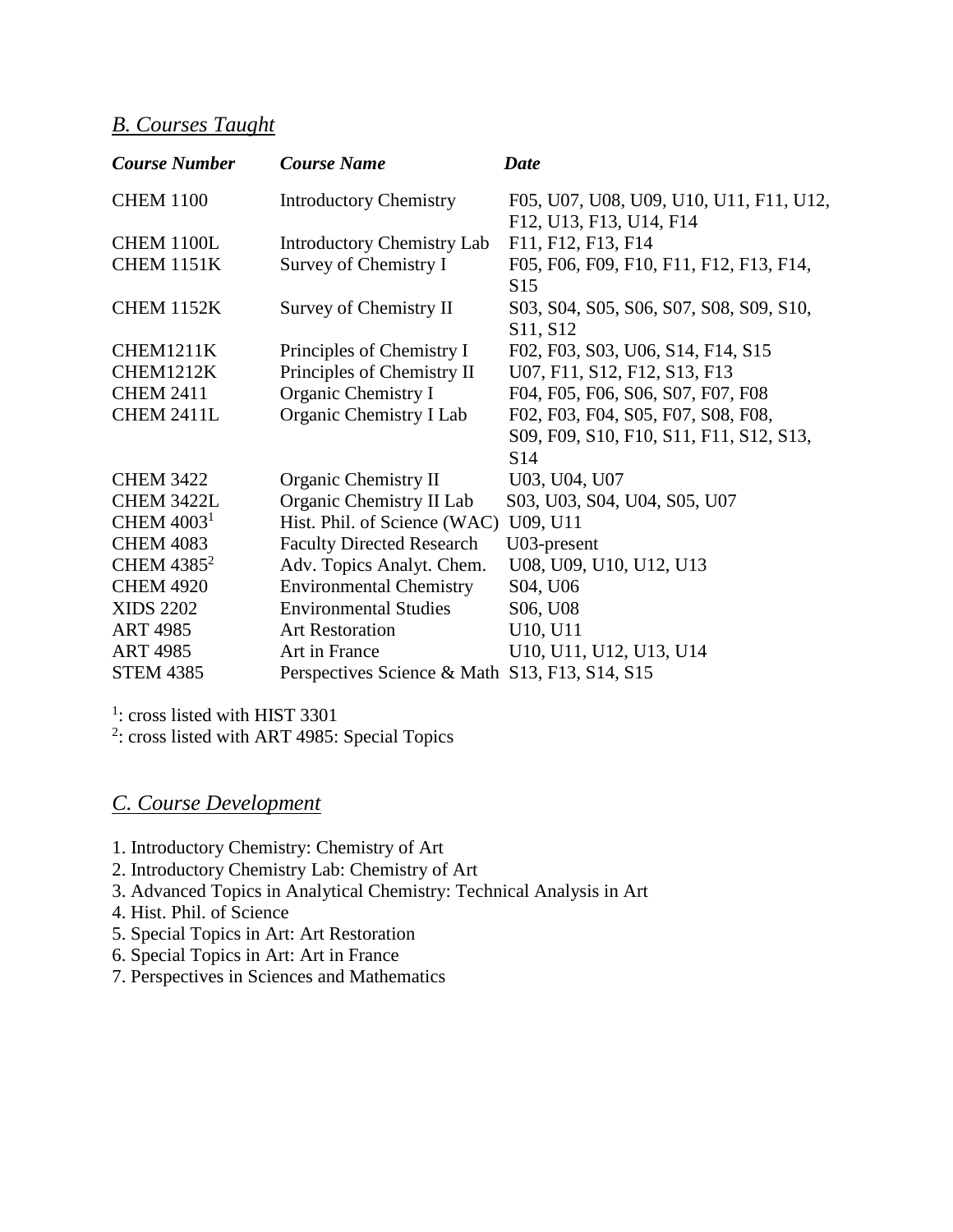# *B. Courses Taught*

| <b>Course Number</b> | <b>Course Name</b>                             | <b>Date</b>                             |
|----------------------|------------------------------------------------|-----------------------------------------|
| <b>CHEM 1100</b>     | <b>Introductory Chemistry</b>                  | F05, U07, U08, U09, U10, U11, F11, U12, |
|                      |                                                | F12, U13, F13, U14, F14                 |
| <b>CHEM 1100L</b>    | <b>Introductory Chemistry Lab</b>              | F11, F12, F13, F14                      |
| <b>CHEM 1151K</b>    | Survey of Chemistry I                          | F05, F06, F09, F10, F11, F12, F13, F14, |
|                      |                                                | S15                                     |
| <b>CHEM 1152K</b>    | Survey of Chemistry II                         | S03, S04, S05, S06, S07, S08, S09, S10, |
|                      |                                                | S11, S12                                |
| <b>CHEM1211K</b>     | Principles of Chemistry I                      | F02, F03, S03, U06, S14, F14, S15       |
| CHEM1212K            | Principles of Chemistry II                     | U07, F11, S12, F12, S13, F13            |
| <b>CHEM 2411</b>     | Organic Chemistry I                            | F04, F05, F06, S06, S07, F07, F08       |
| <b>CHEM 2411L</b>    | Organic Chemistry I Lab                        | F02, F03, F04, S05, F07, S08, F08,      |
|                      |                                                | S09, F09, S10, F10, S11, F11, S12, S13, |
|                      |                                                | S14                                     |
| <b>CHEM 3422</b>     | <b>Organic Chemistry II</b>                    | U03, U04, U07                           |
| CHEM 3422L           | Organic Chemistry II Lab                       | S03, U03, S04, U04, S05, U07            |
| CHEM $40031$         | Hist. Phil. of Science (WAC)                   | U09, U11                                |
| <b>CHEM 4083</b>     | <b>Faculty Directed Research</b>               | U03-present                             |
| CHEM $4385^2$        | Adv. Topics Analyt. Chem.                      | U08, U09, U10, U12, U13                 |
| <b>CHEM 4920</b>     | <b>Environmental Chemistry</b>                 | S04, U06                                |
| <b>XIDS 2202</b>     | <b>Environmental Studies</b>                   | S <sub>06</sub> , U <sub>08</sub>       |
| <b>ART 4985</b>      | <b>Art Restoration</b>                         | U10, U11                                |
| <b>ART 4985</b>      | Art in France                                  | U10, U11, U12, U13, U14                 |
| <b>STEM 4385</b>     | Perspectives Science & Math S13, F13, S14, S15 |                                         |

<sup>1</sup>: cross listed with HIST 3301

<sup>2</sup>: cross listed with ART 4985: Special Topics

# *C. Course Development*

- 1. Introductory Chemistry: Chemistry of Art
- 2. Introductory Chemistry Lab: Chemistry of Art
- 3. Advanced Topics in Analytical Chemistry: Technical Analysis in Art
- 4. Hist. Phil. of Science
- 5. Special Topics in Art: Art Restoration
- 6. Special Topics in Art: Art in France
- 7. Perspectives in Sciences and Mathematics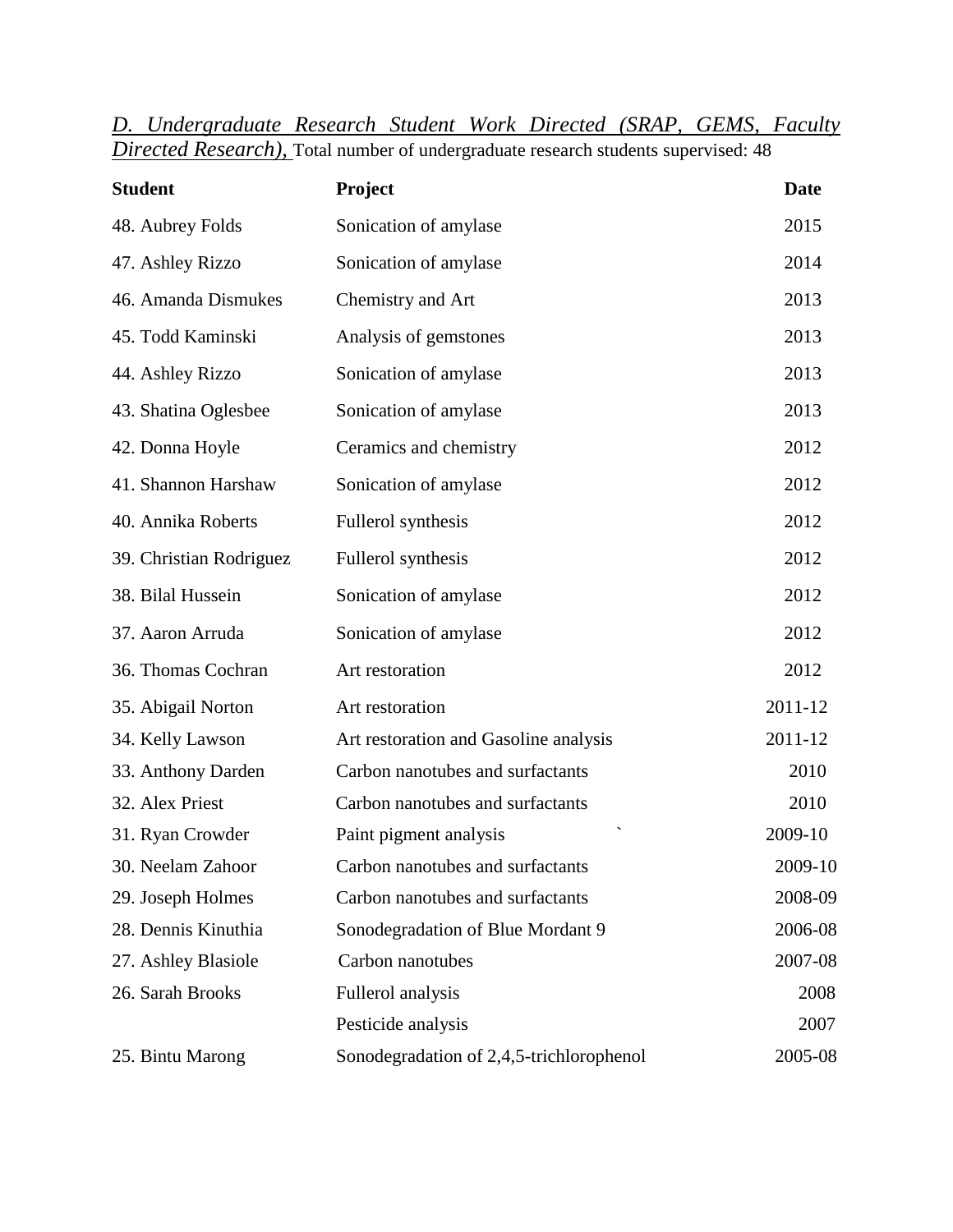| <b>Student</b>          | Project                                  | <b>Date</b> |
|-------------------------|------------------------------------------|-------------|
| 48. Aubrey Folds        | Sonication of amylase                    | 2015        |
| 47. Ashley Rizzo        | Sonication of amylase                    | 2014        |
| 46. Amanda Dismukes     | Chemistry and Art                        | 2013        |
| 45. Todd Kaminski       | Analysis of gemstones                    | 2013        |
| 44. Ashley Rizzo        | Sonication of amylase                    | 2013        |
| 43. Shatina Oglesbee    | Sonication of amylase                    | 2013        |
| 42. Donna Hoyle         | Ceramics and chemistry                   | 2012        |
| 41. Shannon Harshaw     | Sonication of amylase                    | 2012        |
| 40. Annika Roberts      | Fullerol synthesis                       | 2012        |
| 39. Christian Rodriguez | Fullerol synthesis                       | 2012        |
| 38. Bilal Hussein       | Sonication of amylase                    | 2012        |
| 37. Aaron Arruda        | Sonication of amylase                    | 2012        |
| 36. Thomas Cochran      | Art restoration                          | 2012        |
| 35. Abigail Norton      | Art restoration                          | 2011-12     |
| 34. Kelly Lawson        | Art restoration and Gasoline analysis    | 2011-12     |
| 33. Anthony Darden      | Carbon nanotubes and surfactants         | 2010        |
| 32. Alex Priest         | Carbon nanotubes and surfactants         | 2010        |
| 31. Ryan Crowder        | Paint pigment analysis                   | 2009-10     |
| 30. Neelam Zahoor       | Carbon nanotubes and surfactants         | 2009-10     |
| 29. Joseph Holmes       | Carbon nanotubes and surfactants         | 2008-09     |
| 28. Dennis Kinuthia     | Sonodegradation of Blue Mordant 9        | 2006-08     |
| 27. Ashley Blasiole     | Carbon nanotubes                         | 2007-08     |
| 26. Sarah Brooks        | Fullerol analysis                        | 2008        |
|                         | Pesticide analysis                       | 2007        |
| 25. Bintu Marong        | Sonodegradation of 2,4,5-trichlorophenol | 2005-08     |

|                                                                                            | D. Undergraduate Research Student Work Directed (SRAP, GEMS, Faculty |  |  |  |  |  |  |  |
|--------------------------------------------------------------------------------------------|----------------------------------------------------------------------|--|--|--|--|--|--|--|
| <i>Directed Research</i> ), Total number of undergraduate research students supervised: 48 |                                                                      |  |  |  |  |  |  |  |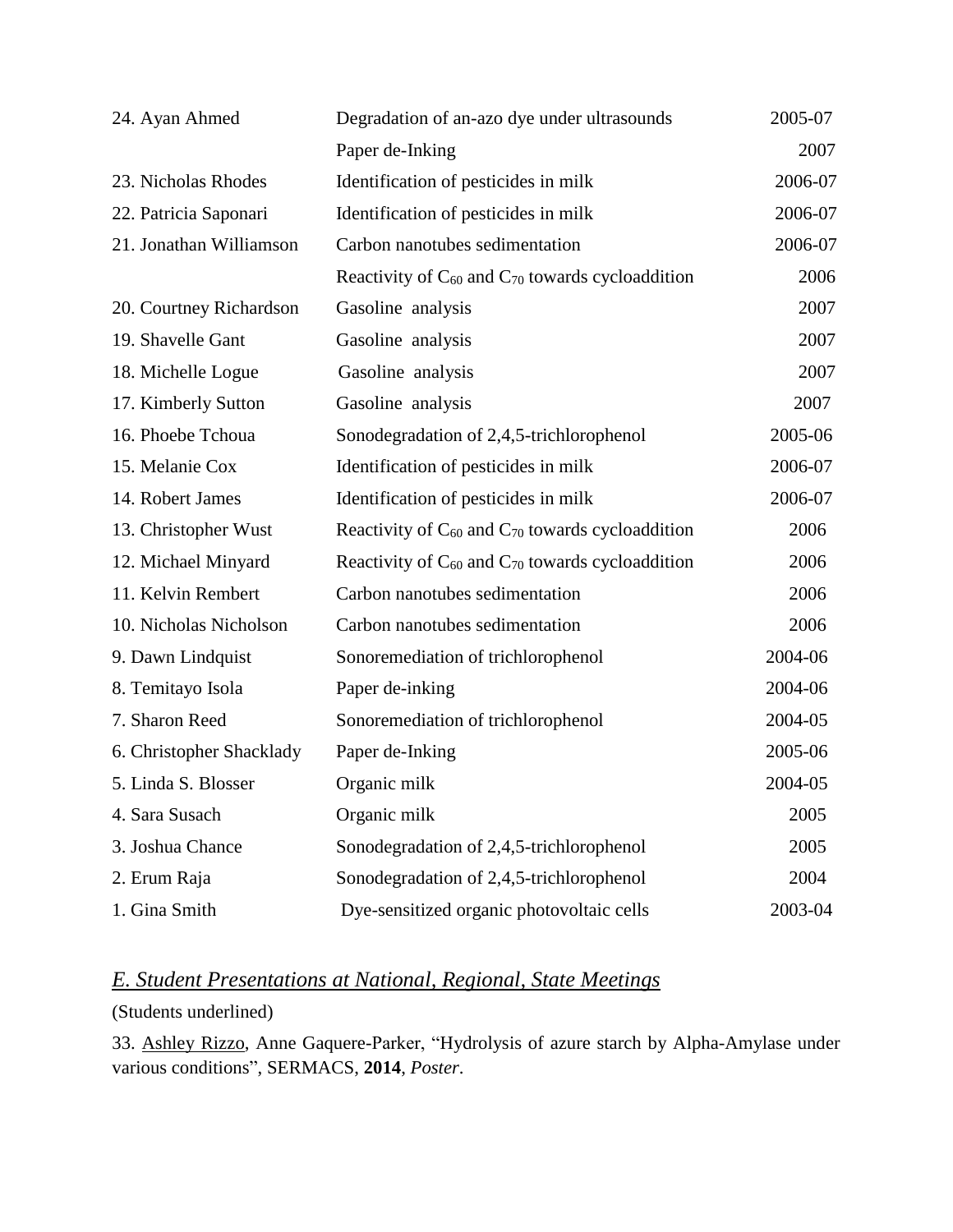| 24. Ayan Ahmed           | Degradation of an-azo dye under ultrasounds               | 2005-07 |
|--------------------------|-----------------------------------------------------------|---------|
|                          | Paper de-Inking                                           | 2007    |
| 23. Nicholas Rhodes      | Identification of pesticides in milk                      | 2006-07 |
| 22. Patricia Saponari    | Identification of pesticides in milk                      | 2006-07 |
| 21. Jonathan Williamson  | Carbon nanotubes sedimentation                            | 2006-07 |
|                          | Reactivity of $C_{60}$ and $C_{70}$ towards cycloaddition | 2006    |
| 20. Courtney Richardson  | Gasoline analysis                                         | 2007    |
| 19. Shavelle Gant        | Gasoline analysis                                         | 2007    |
| 18. Michelle Logue       | Gasoline analysis                                         | 2007    |
| 17. Kimberly Sutton      | Gasoline analysis                                         | 2007    |
| 16. Phoebe Tchoua        | Sonodegradation of 2,4,5-trichlorophenol                  | 2005-06 |
| 15. Melanie Cox          | Identification of pesticides in milk                      | 2006-07 |
| 14. Robert James         | Identification of pesticides in milk                      | 2006-07 |
| 13. Christopher Wust     | Reactivity of $C_{60}$ and $C_{70}$ towards cycloaddition | 2006    |
| 12. Michael Minyard      | Reactivity of $C_{60}$ and $C_{70}$ towards cycloaddition | 2006    |
| 11. Kelvin Rembert       | Carbon nanotubes sedimentation                            | 2006    |
| 10. Nicholas Nicholson   | Carbon nanotubes sedimentation                            | 2006    |
| 9. Dawn Lindquist        | Sonoremediation of trichlorophenol                        | 2004-06 |
| 8. Temitayo Isola        | Paper de-inking                                           | 2004-06 |
| 7. Sharon Reed           | Sonoremediation of trichlorophenol                        | 2004-05 |
| 6. Christopher Shacklady | Paper de-Inking                                           | 2005-06 |
| 5. Linda S. Blosser      | Organic milk                                              | 2004-05 |
| 4. Sara Susach           | Organic milk                                              | 2005    |
| 3. Joshua Chance         | Sonodegradation of 2,4,5-trichlorophenol                  | 2005    |
| 2. Erum Raja             | Sonodegradation of 2,4,5-trichlorophenol                  | 2004    |
| 1. Gina Smith            | Dye-sensitized organic photovoltaic cells                 | 2003-04 |

# *E. Student Presentations at National, Regional, State Meetings*

(Students underlined)

33. Ashley Rizzo, Anne Gaquere-Parker, "Hydrolysis of azure starch by Alpha-Amylase under various conditions", SERMACS, **2014**, *Poster*.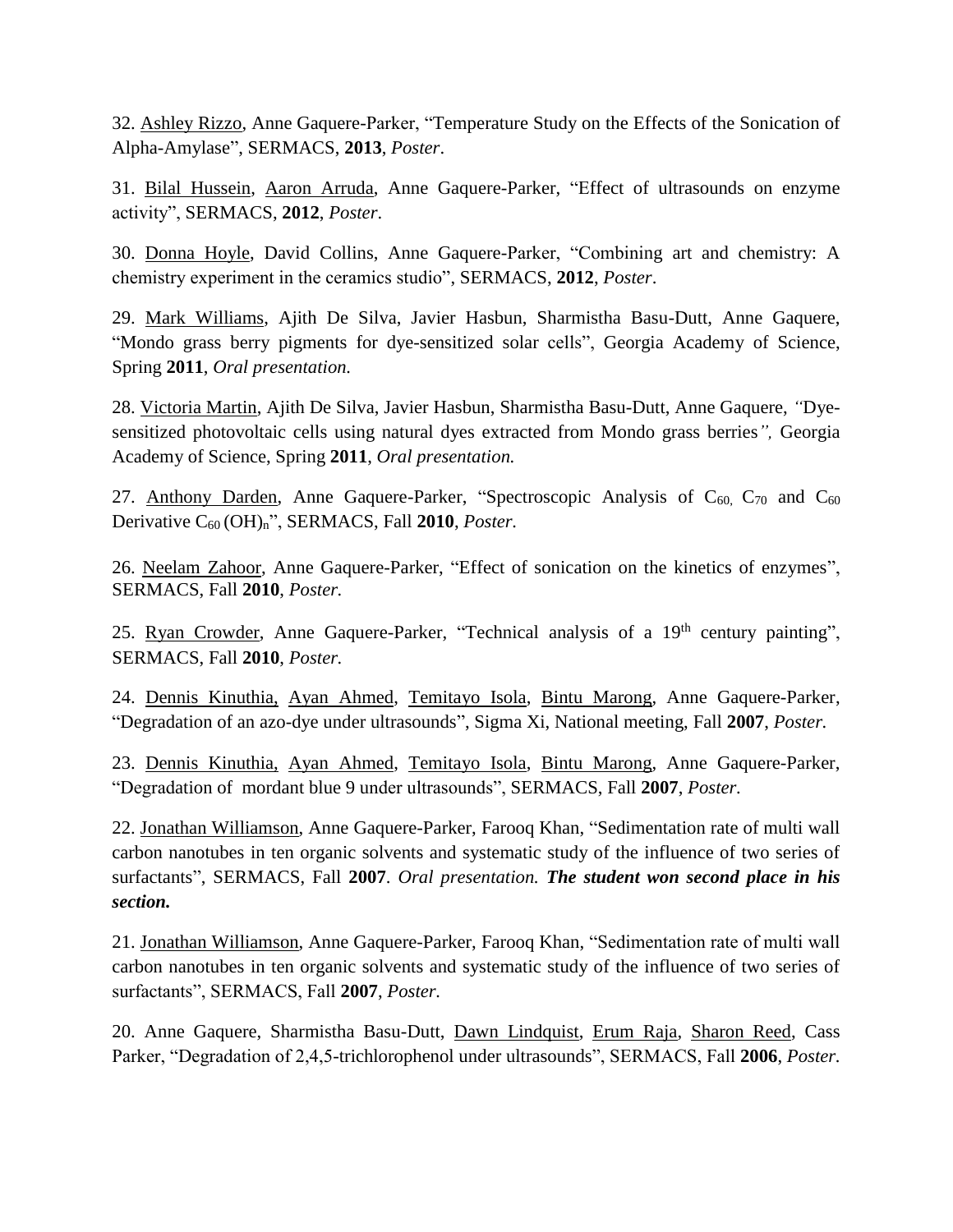32. Ashley Rizzo, Anne Gaquere-Parker, "Temperature Study on the Effects of the Sonication of Alpha-Amylase", SERMACS, **2013**, *Poster*.

31. Bilal Hussein, Aaron Arruda, Anne Gaquere-Parker, "Effect of ultrasounds on enzyme activity", SERMACS, **2012**, *Poster*.

30. Donna Hoyle, David Collins, Anne Gaquere-Parker, "Combining art and chemistry: A chemistry experiment in the ceramics studio", SERMACS, **2012**, *Poster*.

29. Mark Williams, Ajith De Silva, Javier Hasbun, Sharmistha Basu-Dutt, Anne Gaquere, "Mondo grass berry pigments for dye-sensitized solar cells", Georgia Academy of Science, Spring **2011**, *Oral presentation.*

28. Victoria Martin, Ajith De Silva, Javier Hasbun, Sharmistha Basu-Dutt, Anne Gaquere, *"*Dyesensitized photovoltaic cells using natural dyes extracted from Mondo grass berries*",* Georgia Academy of Science, Spring **2011**, *Oral presentation.*

27. Anthony Darden, Anne Gaquere-Parker, "Spectroscopic Analysis of  $C_{60}$ ,  $C_{70}$  and  $C_{60}$ Derivative C60 (OH)n", SERMACS, Fall **2010**, *Poster.*

26. Neelam Zahoor, Anne Gaquere-Parker, "Effect of sonication on the kinetics of enzymes", SERMACS, Fall **2010**, *Poster.*

25. Ryan Crowder, Anne Gaquere-Parker, "Technical analysis of a 19<sup>th</sup> century painting", SERMACS, Fall **2010**, *Poster.*

24. Dennis Kinuthia, Ayan Ahmed, Temitayo Isola, Bintu Marong, Anne Gaquere-Parker, "Degradation of an azo-dye under ultrasounds", Sigma Xi, National meeting, Fall **2007**, *Poster.*

23. Dennis Kinuthia, Ayan Ahmed, Temitayo Isola, Bintu Marong, Anne Gaquere-Parker, "Degradation of mordant blue 9 under ultrasounds", SERMACS, Fall **2007**, *Poster.*

22. Jonathan Williamson, Anne Gaquere-Parker, Farooq Khan, "Sedimentation rate of multi wall carbon nanotubes in ten organic solvents and systematic study of the influence of two series of surfactants", SERMACS, Fall **2007**. *Oral presentation. The student won second place in his section.*

21. Jonathan Williamson, Anne Gaquere-Parker, Farooq Khan, "Sedimentation rate of multi wall carbon nanotubes in ten organic solvents and systematic study of the influence of two series of surfactants", SERMACS, Fall **2007**, *Poster.*

20. Anne Gaquere, Sharmistha Basu-Dutt, Dawn Lindquist, Erum Raja, Sharon Reed, Cass Parker, "Degradation of 2,4,5-trichlorophenol under ultrasounds", SERMACS, Fall **2006**, *Poster.*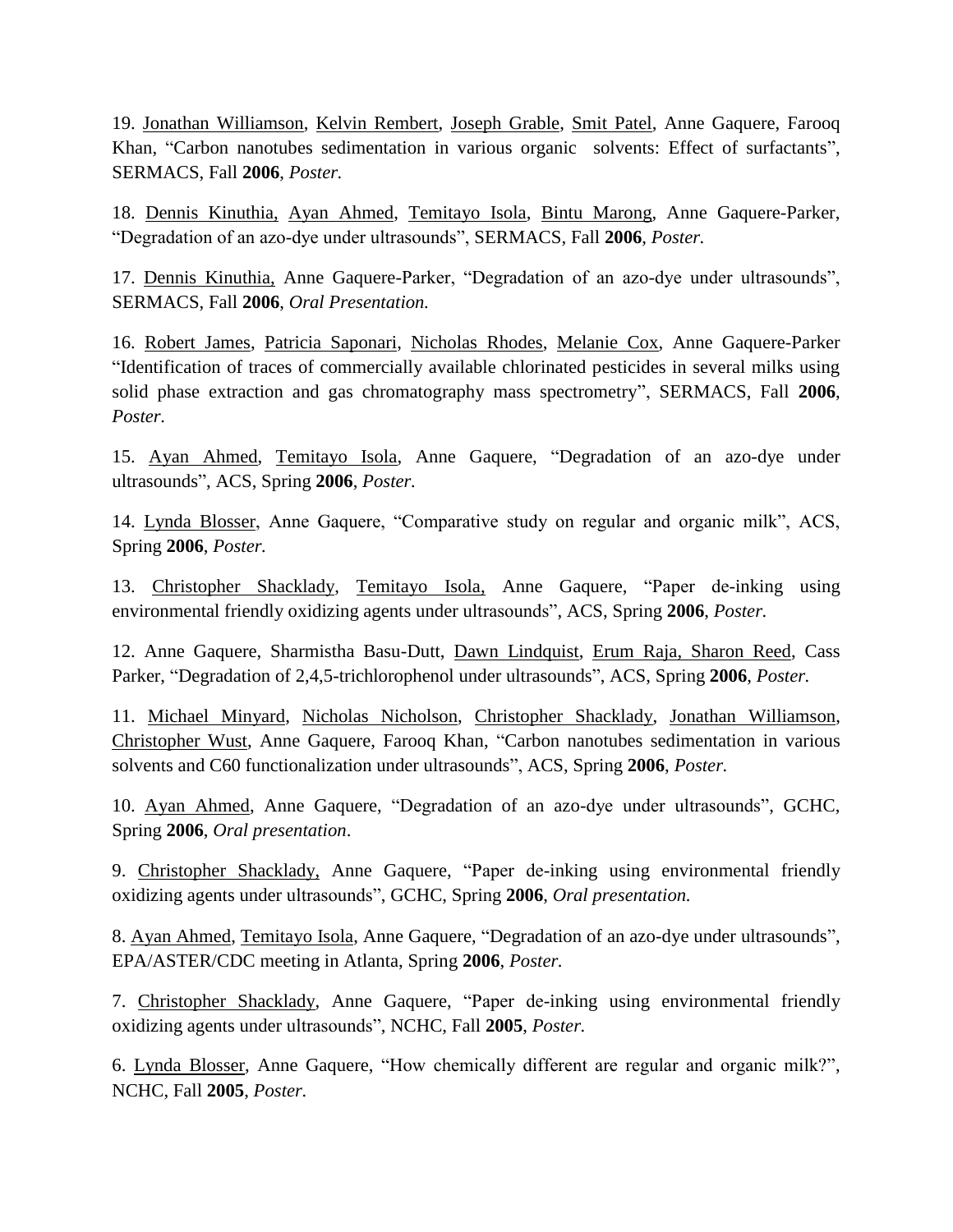19. Jonathan Williamson, Kelvin Rembert, Joseph Grable, Smit Patel, Anne Gaquere, Farooq Khan, "Carbon nanotubes sedimentation in various organic solvents: Effect of surfactants", SERMACS, Fall **2006**, *Poster.*

18. Dennis Kinuthia, Ayan Ahmed, Temitayo Isola, Bintu Marong, Anne Gaquere-Parker, "Degradation of an azo-dye under ultrasounds", SERMACS, Fall **2006**, *Poster.*

17. Dennis Kinuthia, Anne Gaquere-Parker, "Degradation of an azo-dye under ultrasounds", SERMACS, Fall **2006**, *Oral Presentation.*

16. Robert James, Patricia Saponari, Nicholas Rhodes, Melanie Cox, Anne Gaquere-Parker "Identification of traces of commercially available chlorinated pesticides in several milks using solid phase extraction and gas chromatography mass spectrometry", SERMACS, Fall **2006**, *Poster.*

15. Ayan Ahmed, Temitayo Isola, Anne Gaquere, "Degradation of an azo-dye under ultrasounds", ACS, Spring **2006**, *Poster.*

14. Lynda Blosser, Anne Gaquere, "Comparative study on regular and organic milk", ACS, Spring **2006**, *Poster.*

13. Christopher Shacklady, Temitayo Isola, Anne Gaquere, "Paper de-inking using environmental friendly oxidizing agents under ultrasounds", ACS, Spring **2006**, *Poster.*

12. Anne Gaquere, Sharmistha Basu-Dutt, Dawn Lindquist, Erum Raja, Sharon Reed, Cass Parker, "Degradation of 2,4,5-trichlorophenol under ultrasounds", ACS, Spring **2006**, *Poster.*

11. Michael Minyard, Nicholas Nicholson, Christopher Shacklady, Jonathan Williamson, Christopher Wust, Anne Gaquere, Farooq Khan, "Carbon nanotubes sedimentation in various solvents and C60 functionalization under ultrasounds", ACS, Spring **2006**, *Poster.*

10. Ayan Ahmed, Anne Gaquere, "Degradation of an azo-dye under ultrasounds", GCHC, Spring **2006**, *Oral presentation*.

9. Christopher Shacklady, Anne Gaquere, "Paper de-inking using environmental friendly oxidizing agents under ultrasounds", GCHC, Spring **2006**, *Oral presentation.*

8. Ayan Ahmed, Temitayo Isola, Anne Gaquere, "Degradation of an azo-dye under ultrasounds", EPA/ASTER/CDC meeting in Atlanta, Spring **2006**, *Poster.*

7. Christopher Shacklady, Anne Gaquere, "Paper de-inking using environmental friendly oxidizing agents under ultrasounds", NCHC, Fall **2005**, *Poster.*

6. Lynda Blosser, Anne Gaquere, "How chemically different are regular and organic milk?", NCHC, Fall **2005**, *Poster.*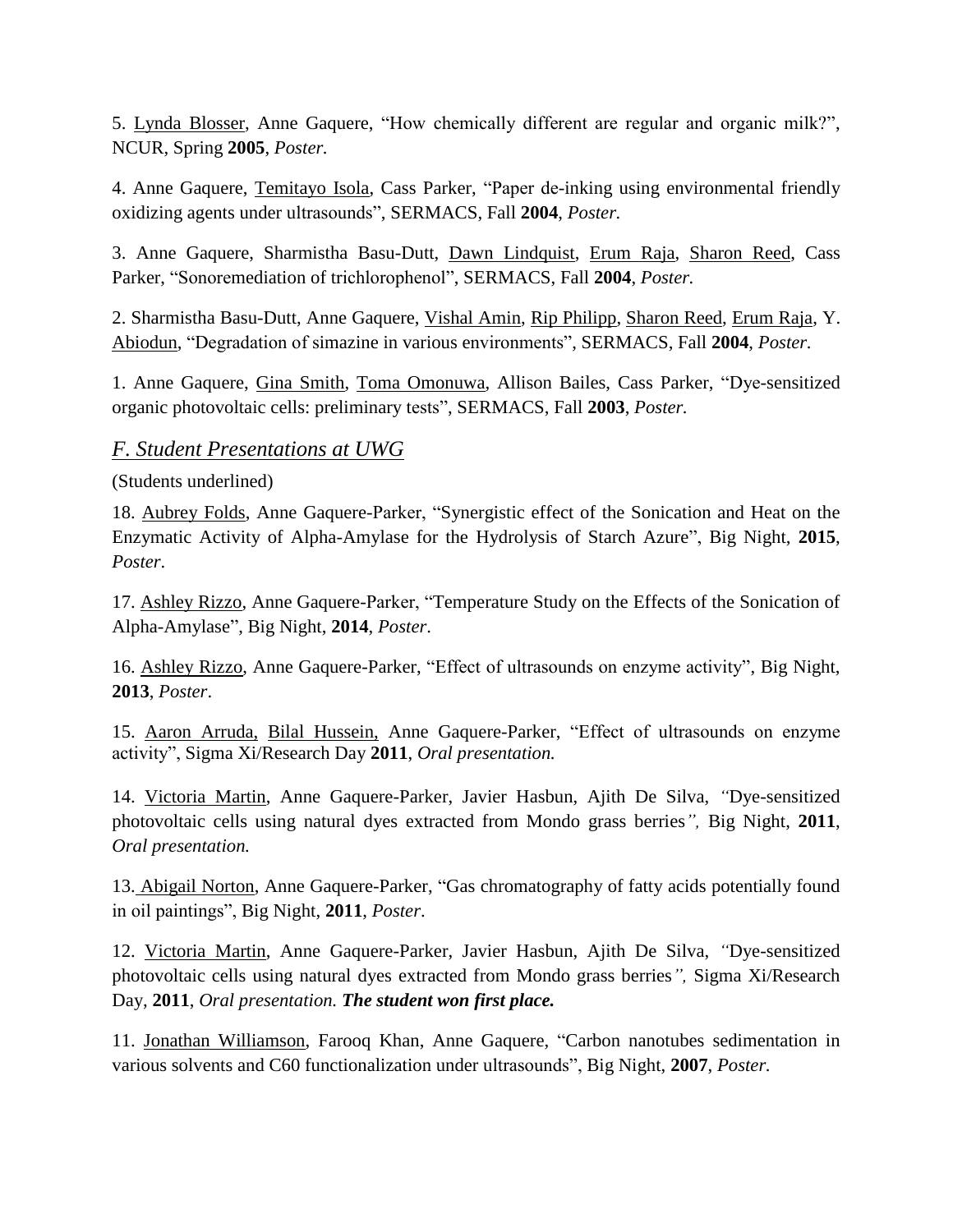5. Lynda Blosser, Anne Gaquere, "How chemically different are regular and organic milk?", NCUR, Spring **2005**, *Poster.*

4. Anne Gaquere, Temitayo Isola, Cass Parker, "Paper de-inking using environmental friendly oxidizing agents under ultrasounds", SERMACS, Fall **2004**, *Poster.*

3. Anne Gaquere, Sharmistha Basu-Dutt, Dawn Lindquist, Erum Raja, Sharon Reed, Cass Parker, "Sonoremediation of trichlorophenol", SERMACS, Fall **2004**, *Poster.*

2. Sharmistha Basu-Dutt, Anne Gaquere, Vishal Amin, Rip Philipp, Sharon Reed, Erum Raja, Y. Abiodun, "Degradation of simazine in various environments", SERMACS, Fall **2004**, *Poster.*

1. Anne Gaquere, Gina Smith, Toma Omonuwa, Allison Bailes, Cass Parker, "Dye-sensitized organic photovoltaic cells: preliminary tests", SERMACS, Fall **2003**, *Poster.*

### *F. Student Presentations at UWG*

(Students underlined)

18. Aubrey Folds, Anne Gaquere-Parker, "Synergistic effect of the Sonication and Heat on the Enzymatic Activity of Alpha-Amylase for the Hydrolysis of Starch Azure", Big Night, **2015**, *Poster*.

17. Ashley Rizzo, Anne Gaquere-Parker, "Temperature Study on the Effects of the Sonication of Alpha-Amylase", Big Night, **2014**, *Poster*.

16. Ashley Rizzo, Anne Gaquere-Parker, "Effect of ultrasounds on enzyme activity", Big Night, **2013**, *Poster*.

15. Aaron Arruda, Bilal Hussein, Anne Gaquere-Parker, "Effect of ultrasounds on enzyme activity", Sigma Xi/Research Day **2011**, *Oral presentation.*

14. Victoria Martin, Anne Gaquere-Parker, Javier Hasbun, Ajith De Silva, *"*Dye-sensitized photovoltaic cells using natural dyes extracted from Mondo grass berries*",* Big Night, **2011**, *Oral presentation.*

13. Abigail Norton, Anne Gaquere-Parker, "Gas chromatography of fatty acids potentially found in oil paintings", Big Night, **2011**, *Poster*.

12. Victoria Martin, Anne Gaquere-Parker, Javier Hasbun, Ajith De Silva, *"*Dye-sensitized photovoltaic cells using natural dyes extracted from Mondo grass berries*",* Sigma Xi/Research Day, **2011**, *Oral presentation. The student won first place.*

11. Jonathan Williamson, Farooq Khan, Anne Gaquere, "Carbon nanotubes sedimentation in various solvents and C60 functionalization under ultrasounds", Big Night, **2007**, *Poster.*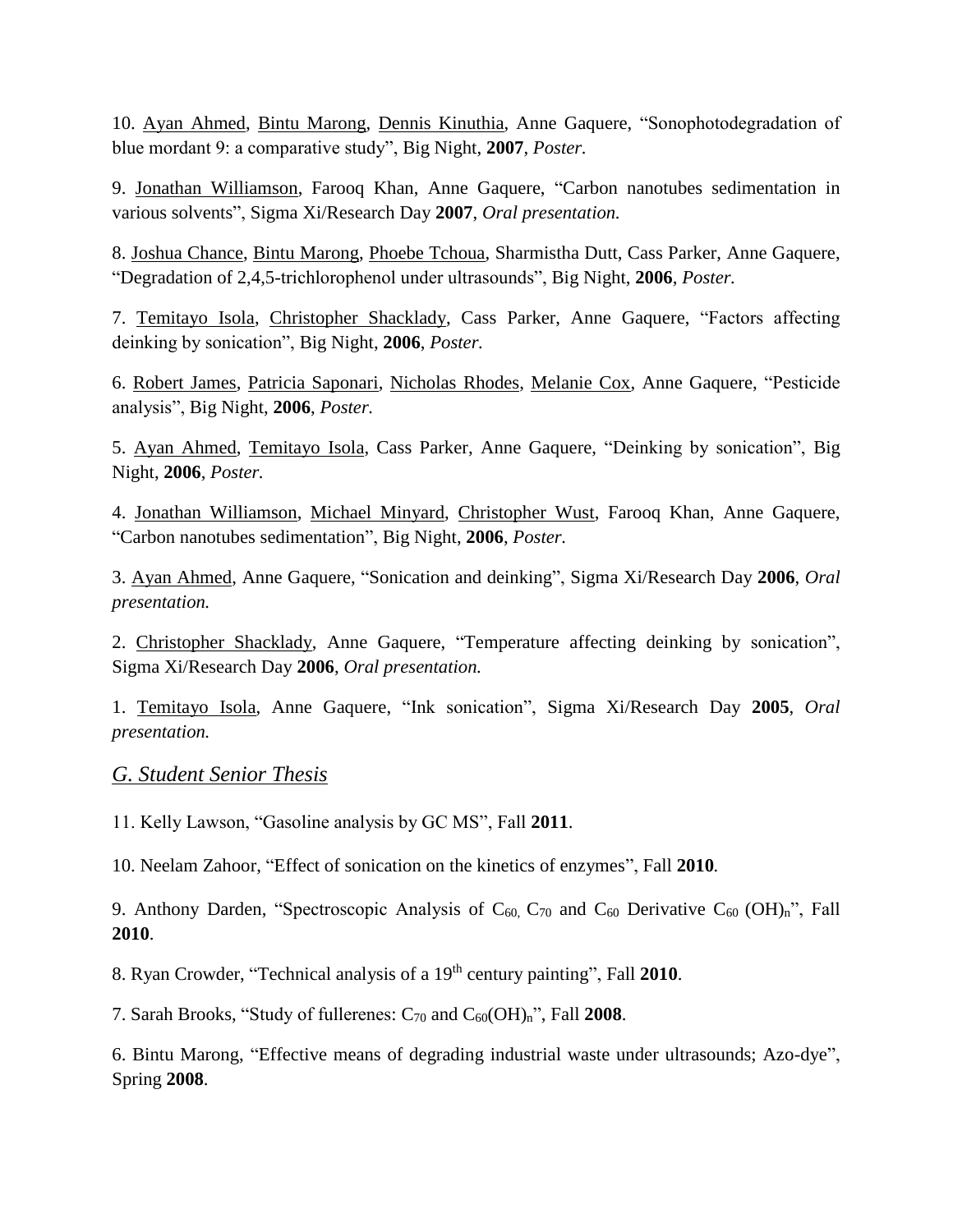10. Ayan Ahmed, Bintu Marong, Dennis Kinuthia, Anne Gaquere, "Sonophotodegradation of blue mordant 9: a comparative study", Big Night, **2007**, *Poster.*

9. Jonathan Williamson, Farooq Khan, Anne Gaquere, "Carbon nanotubes sedimentation in various solvents", Sigma Xi/Research Day **2007**, *Oral presentation.*

8. Joshua Chance, Bintu Marong, Phoebe Tchoua, Sharmistha Dutt, Cass Parker, Anne Gaquere, "Degradation of 2,4,5-trichlorophenol under ultrasounds", Big Night, **2006**, *Poster.*

7. Temitayo Isola, Christopher Shacklady, Cass Parker, Anne Gaquere, "Factors affecting deinking by sonication", Big Night, **2006**, *Poster.*

6. Robert James, Patricia Saponari, Nicholas Rhodes, Melanie Cox, Anne Gaquere, "Pesticide analysis", Big Night, **2006**, *Poster.*

5. Ayan Ahmed, Temitayo Isola, Cass Parker, Anne Gaquere, "Deinking by sonication", Big Night, **2006**, *Poster.*

4. Jonathan Williamson, Michael Minyard, Christopher Wust, Farooq Khan, Anne Gaquere, "Carbon nanotubes sedimentation", Big Night, **2006**, *Poster.*

3. Ayan Ahmed, Anne Gaquere, "Sonication and deinking", Sigma Xi/Research Day **2006**, *Oral presentation.*

2. Christopher Shacklady, Anne Gaquere, "Temperature affecting deinking by sonication", Sigma Xi/Research Day **2006**, *Oral presentation.*

1. Temitayo Isola, Anne Gaquere, "Ink sonication", Sigma Xi/Research Day **2005**, *Oral presentation.*

#### *G. Student Senior Thesis*

11. Kelly Lawson, "Gasoline analysis by GC MS", Fall **2011**.

10. Neelam Zahoor, "Effect of sonication on the kinetics of enzymes", Fall **2010***.*

9. Anthony Darden, "Spectroscopic Analysis of  $C_{60}$ ,  $C_{70}$  and  $C_{60}$  Derivative  $C_{60}$  (OH)<sub>n</sub>", Fall **2010**.

8. Ryan Crowder, "Technical analysis of a 19th century painting", Fall **2010**.

7. Sarah Brooks, "Study of fullerenes: C<sup>70</sup> and C60(OH)n", Fall **2008**.

6. Bintu Marong, "Effective means of degrading industrial waste under ultrasounds; Azo-dye", Spring **2008**.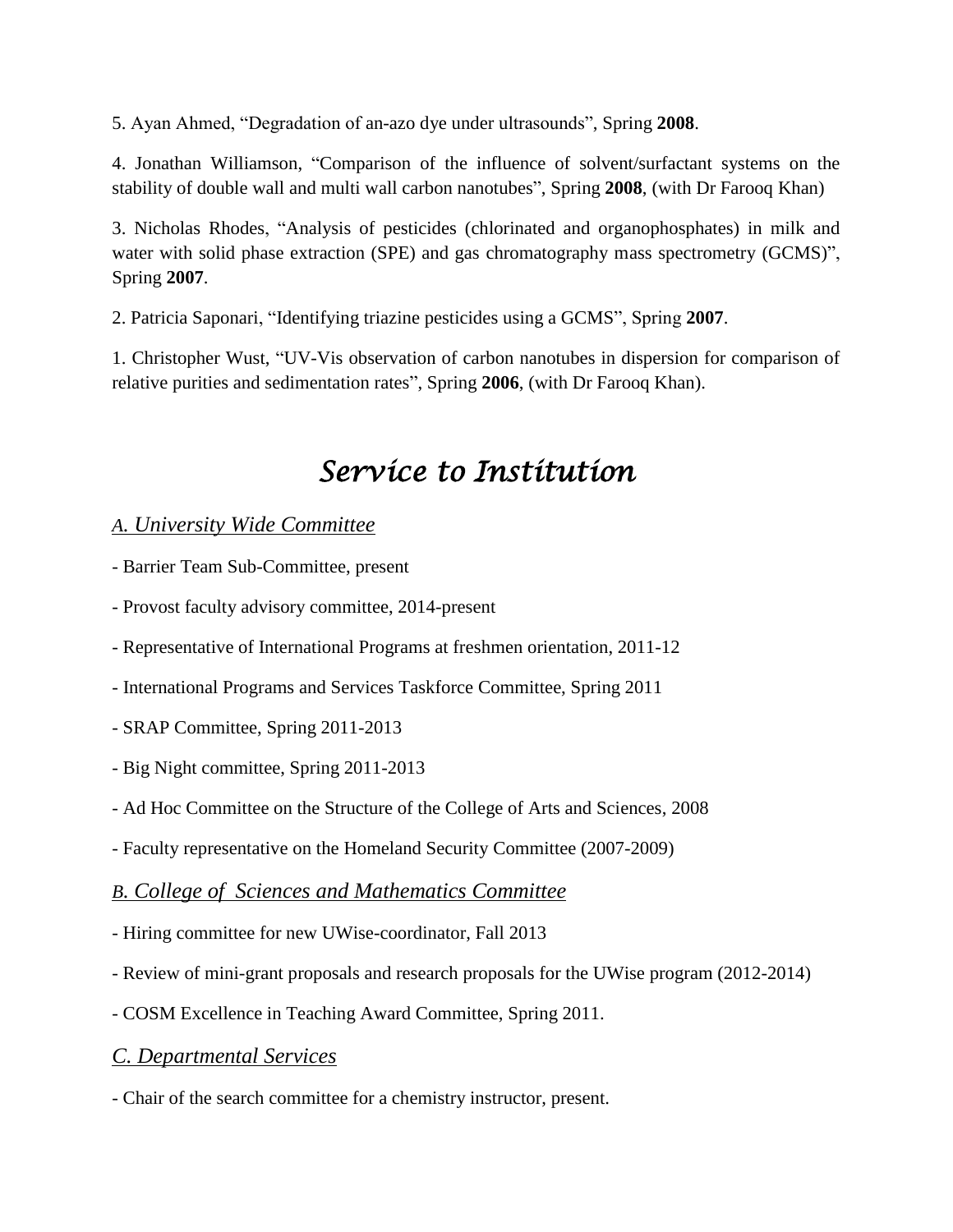5. Ayan Ahmed, "Degradation of an-azo dye under ultrasounds", Spring **2008**.

4. Jonathan Williamson, "Comparison of the influence of solvent/surfactant systems on the stability of double wall and multi wall carbon nanotubes", Spring **2008**, (with Dr Farooq Khan)

3. Nicholas Rhodes, "Analysis of pesticides (chlorinated and organophosphates) in milk and water with solid phase extraction (SPE) and gas chromatography mass spectrometry (GCMS)", Spring **2007**.

2. Patricia Saponari, "Identifying triazine pesticides using a GCMS", Spring **2007**.

1. Christopher Wust, "UV-Vis observation of carbon nanotubes in dispersion for comparison of relative purities and sedimentation rates", Spring **2006**, (with Dr Farooq Khan).

# *Service to Institution*

### *A. University Wide Committee*

- Barrier Team Sub-Committee, present

- Provost faculty advisory committee, 2014-present

- Representative of International Programs at freshmen orientation, 2011-12

- International Programs and Services Taskforce Committee, Spring 2011
- SRAP Committee, Spring 2011-2013
- Big Night committee, Spring 2011-2013
- Ad Hoc Committee on the Structure of the College of Arts and Sciences, 2008
- Faculty representative on the Homeland Security Committee (2007-2009)

### *B. College of Sciences and Mathematics Committee*

- Hiring committee for new UWise-coordinator, Fall 2013
- Review of mini-grant proposals and research proposals for the UWise program (2012-2014)
- COSM Excellence in Teaching Award Committee, Spring 2011.

# *C. Departmental Services*

- Chair of the search committee for a chemistry instructor, present.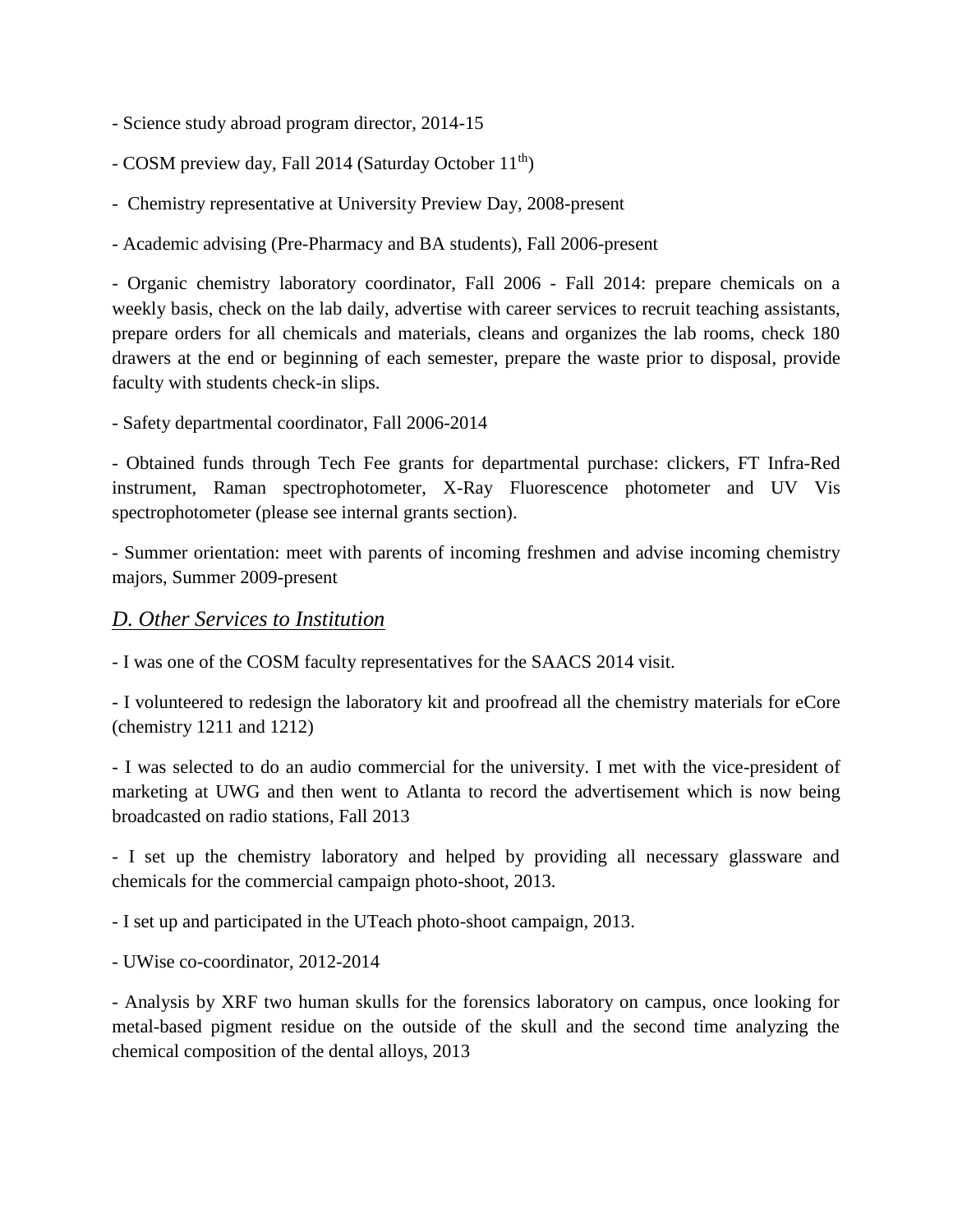- Science study abroad program director, 2014-15
- COSM preview day, Fall 2014 (Saturday October  $11<sup>th</sup>$ )
- Chemistry representative at University Preview Day, 2008-present
- Academic advising (Pre-Pharmacy and BA students), Fall 2006-present

- Organic chemistry laboratory coordinator, Fall 2006 - Fall 2014: prepare chemicals on a weekly basis, check on the lab daily, advertise with career services to recruit teaching assistants, prepare orders for all chemicals and materials, cleans and organizes the lab rooms, check 180 drawers at the end or beginning of each semester, prepare the waste prior to disposal, provide faculty with students check-in slips.

- Safety departmental coordinator, Fall 2006-2014

- Obtained funds through Tech Fee grants for departmental purchase: clickers, FT Infra-Red instrument, Raman spectrophotometer, X-Ray Fluorescence photometer and UV Vis spectrophotometer (please see internal grants section).

- Summer orientation: meet with parents of incoming freshmen and advise incoming chemistry majors, Summer 2009-present

#### *D. Other Services to Institution*

- I was one of the COSM faculty representatives for the SAACS 2014 visit.

- I volunteered to redesign the laboratory kit and proofread all the chemistry materials for eCore (chemistry 1211 and 1212)

- I was selected to do an audio commercial for the university. I met with the vice-president of marketing at UWG and then went to Atlanta to record the advertisement which is now being broadcasted on radio stations, Fall 2013

- I set up the chemistry laboratory and helped by providing all necessary glassware and chemicals for the commercial campaign photo-shoot, 2013.

- I set up and participated in the UTeach photo-shoot campaign, 2013.

- UWise co-coordinator, 2012-2014

- Analysis by XRF two human skulls for the forensics laboratory on campus, once looking for metal-based pigment residue on the outside of the skull and the second time analyzing the chemical composition of the dental alloys, 2013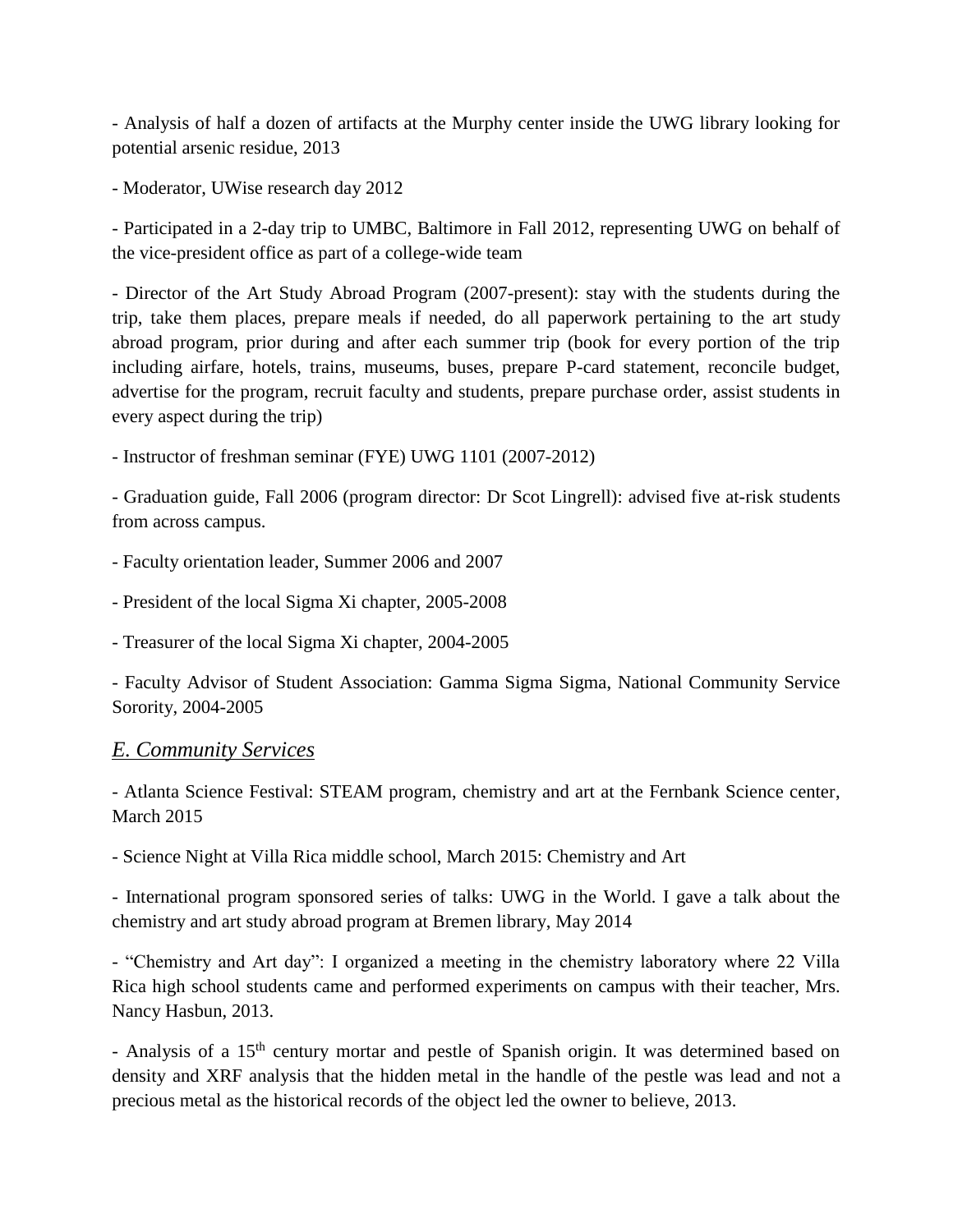- Analysis of half a dozen of artifacts at the Murphy center inside the UWG library looking for potential arsenic residue, 2013

- Moderator, UWise research day 2012

- Participated in a 2-day trip to UMBC, Baltimore in Fall 2012, representing UWG on behalf of the vice-president office as part of a college-wide team

- Director of the Art Study Abroad Program (2007-present): stay with the students during the trip, take them places, prepare meals if needed, do all paperwork pertaining to the art study abroad program, prior during and after each summer trip (book for every portion of the trip including airfare, hotels, trains, museums, buses, prepare P-card statement, reconcile budget, advertise for the program, recruit faculty and students, prepare purchase order, assist students in every aspect during the trip)

- Instructor of freshman seminar (FYE) UWG 1101 (2007-2012)

- Graduation guide, Fall 2006 (program director: Dr Scot Lingrell): advised five at-risk students from across campus.

- Faculty orientation leader, Summer 2006 and 2007

- President of the local Sigma Xi chapter, 2005-2008

- Treasurer of the local Sigma Xi chapter, 2004-2005

- Faculty Advisor of Student Association: Gamma Sigma Sigma, National Community Service Sorority, 2004-2005

#### *E. Community Services*

- Atlanta Science Festival: STEAM program, chemistry and art at the Fernbank Science center, March 2015

- Science Night at Villa Rica middle school, March 2015: Chemistry and Art

- International program sponsored series of talks: UWG in the World. I gave a talk about the chemistry and art study abroad program at Bremen library, May 2014

- "Chemistry and Art day": I organized a meeting in the chemistry laboratory where 22 Villa Rica high school students came and performed experiments on campus with their teacher, Mrs. Nancy Hasbun, 2013.

- Analysis of a 15<sup>th</sup> century mortar and pestle of Spanish origin. It was determined based on density and XRF analysis that the hidden metal in the handle of the pestle was lead and not a precious metal as the historical records of the object led the owner to believe, 2013.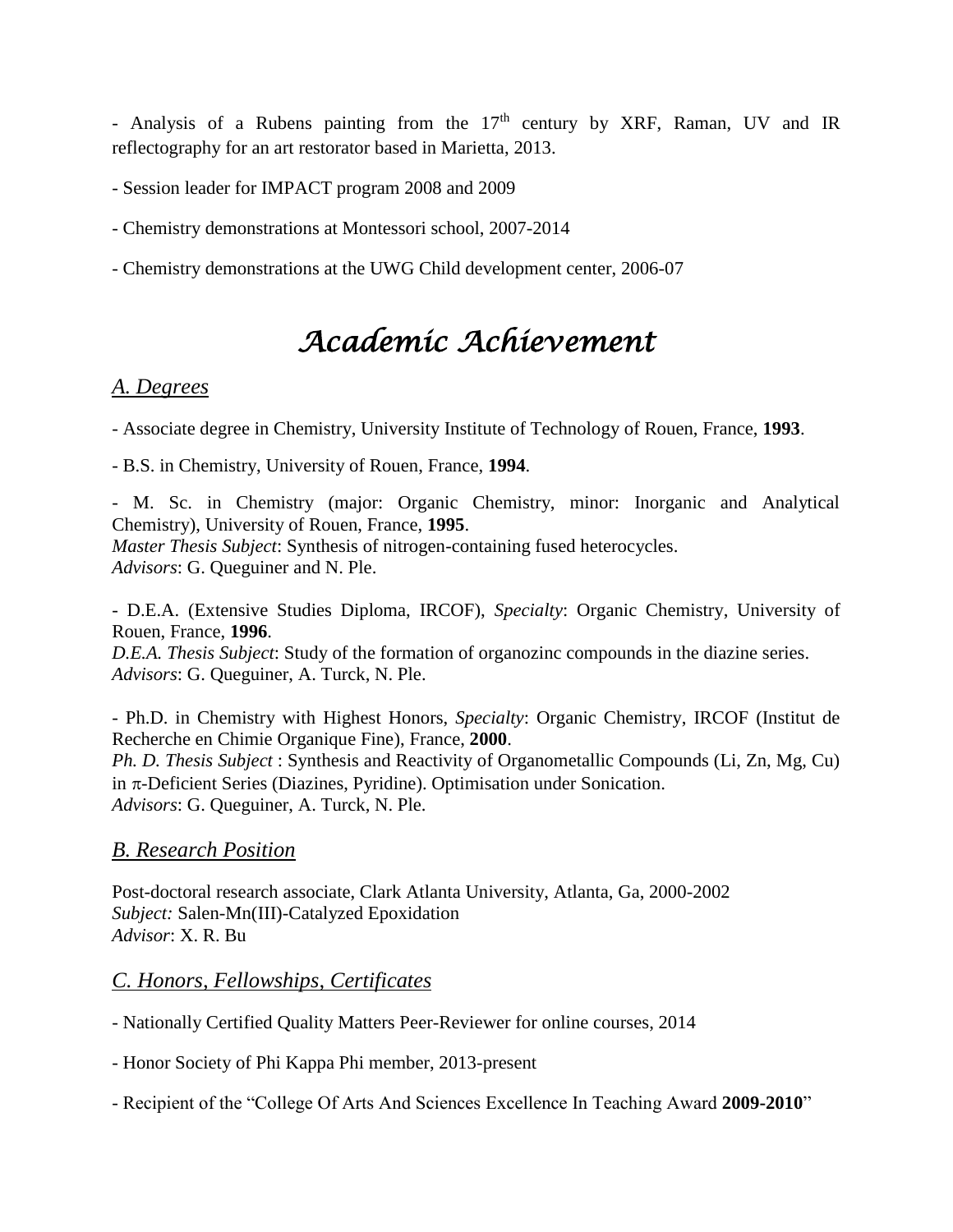- Analysis of a Rubens painting from the  $17<sup>th</sup>$  century by XRF, Raman, UV and IR reflectography for an art restorator based in Marietta, 2013.

- Session leader for IMPACT program 2008 and 2009

- Chemistry demonstrations at Montessori school, 2007-2014
- Chemistry demonstrations at the UWG Child development center, 2006-07

# *Academic Achievement*

# *A. Degrees*

- Associate degree in Chemistry, University Institute of Technology of Rouen, France, **1993**.

- B.S. in Chemistry, University of Rouen, France, **1994**.

- M. Sc. in Chemistry (major: Organic Chemistry, minor: Inorganic and Analytical Chemistry), University of Rouen, France, **1995**. *Master Thesis Subject*: Synthesis of nitrogen-containing fused heterocycles. *Advisors*: G. Queguiner and N. Ple.

- D.E.A. (Extensive Studies Diploma, IRCOF), *Specialty*: Organic Chemistry, University of Rouen, France, **1996**.

*D.E.A. Thesis Subject*: Study of the formation of organozinc compounds in the diazine series. *Advisors*: G. Queguiner, A. Turck, N. Ple.

- Ph.D. in Chemistry with Highest Honors, *Specialty*: Organic Chemistry, IRCOF (Institut de Recherche en Chimie Organique Fine), France, **2000**. *Ph. D. Thesis Subject* : Synthesis and Reactivity of Organometallic Compounds (Li, Zn, Mg, Cu) in  $\pi$ -Deficient Series (Diazines, Pyridine). Optimisation under Sonication. *Advisors*: G. Queguiner, A. Turck, N. Ple.

# *B. Research Position*

Post-doctoral research associate, Clark Atlanta University, Atlanta, Ga, 2000-2002 *Subject:* Salen-Mn(III)-Catalyzed Epoxidation *Advisor*: X. R. Bu

# *C. Honors, Fellowships, Certificates*

- Nationally Certified Quality Matters Peer-Reviewer for online courses, 2014

- Honor Society of Phi Kappa Phi member, 2013-present

- Recipient of the "College Of Arts And Sciences Excellence In Teaching Award **2009-2010**"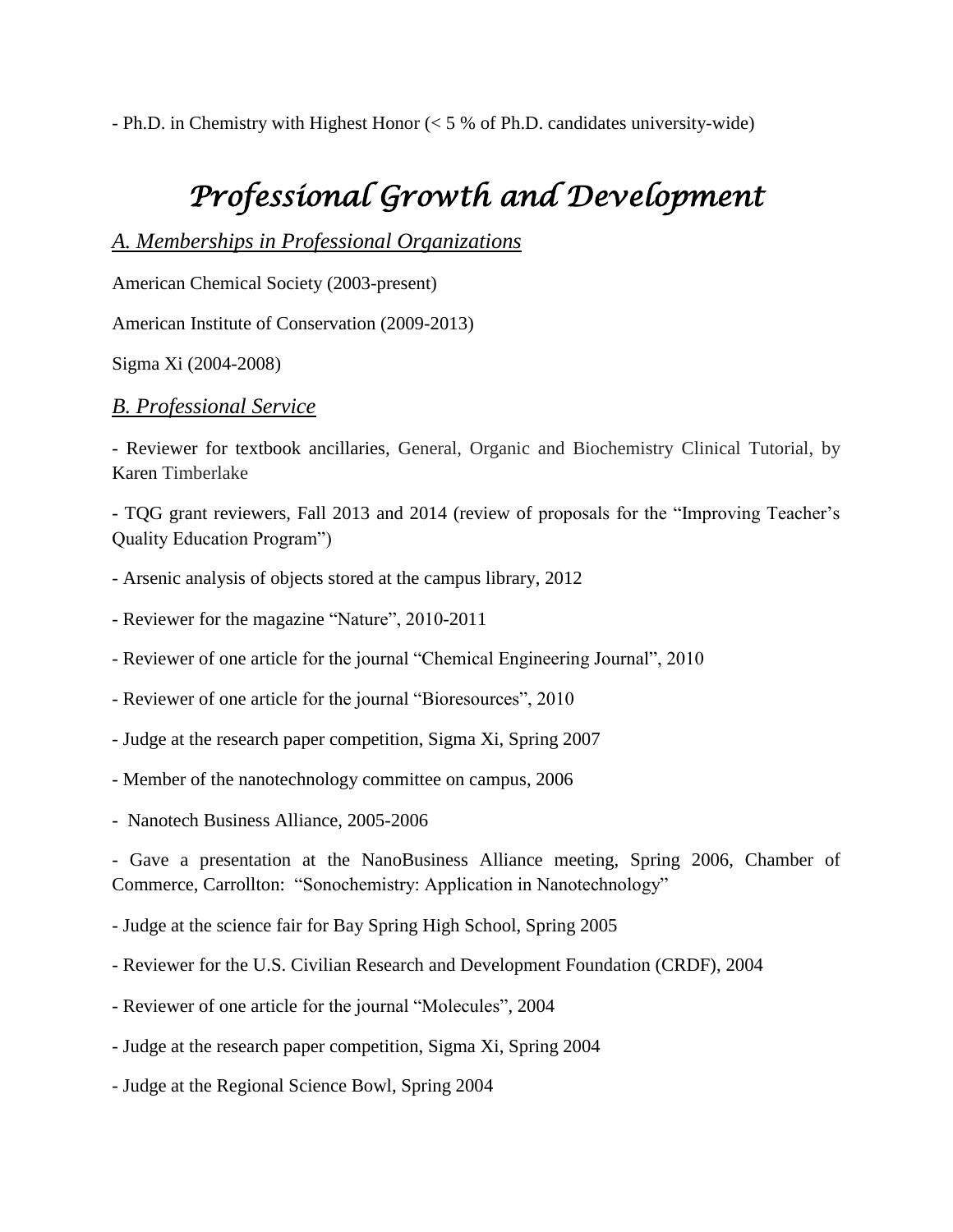- Ph.D. in Chemistry with Highest Honor (< 5 % of Ph.D. candidates university-wide)

# *Professional Growth and Development*

## *A. Memberships in Professional Organizations*

American Chemical Society (2003-present)

American Institute of Conservation (2009-2013)

Sigma Xi (2004-2008)

#### *B. Professional Service*

- Reviewer for textbook ancillaries, General, Organic and Biochemistry Clinical Tutorial, by Karen Timberlake

- TQG grant reviewers, Fall 2013 and 2014 (review of proposals for the "Improving Teacher's Quality Education Program")

- Arsenic analysis of objects stored at the campus library, 2012

- Reviewer for the magazine "Nature", 2010-2011

- Reviewer of one article for the journal "Chemical Engineering Journal", 2010

- Reviewer of one article for the journal "Bioresources", 2010

- Judge at the research paper competition, Sigma Xi, Spring 2007
- Member of the nanotechnology committee on campus, 2006
- Nanotech Business Alliance, 2005-2006

- Gave a presentation at the NanoBusiness Alliance meeting, Spring 2006, Chamber of Commerce, Carrollton: "Sonochemistry: Application in Nanotechnology"

- Judge at the science fair for Bay Spring High School, Spring 2005

- Reviewer for the U.S. Civilian Research and Development Foundation (CRDF), 2004

- Reviewer of one article for the journal "Molecules", 2004

- Judge at the research paper competition, Sigma Xi, Spring 2004

- Judge at the Regional Science Bowl, Spring 2004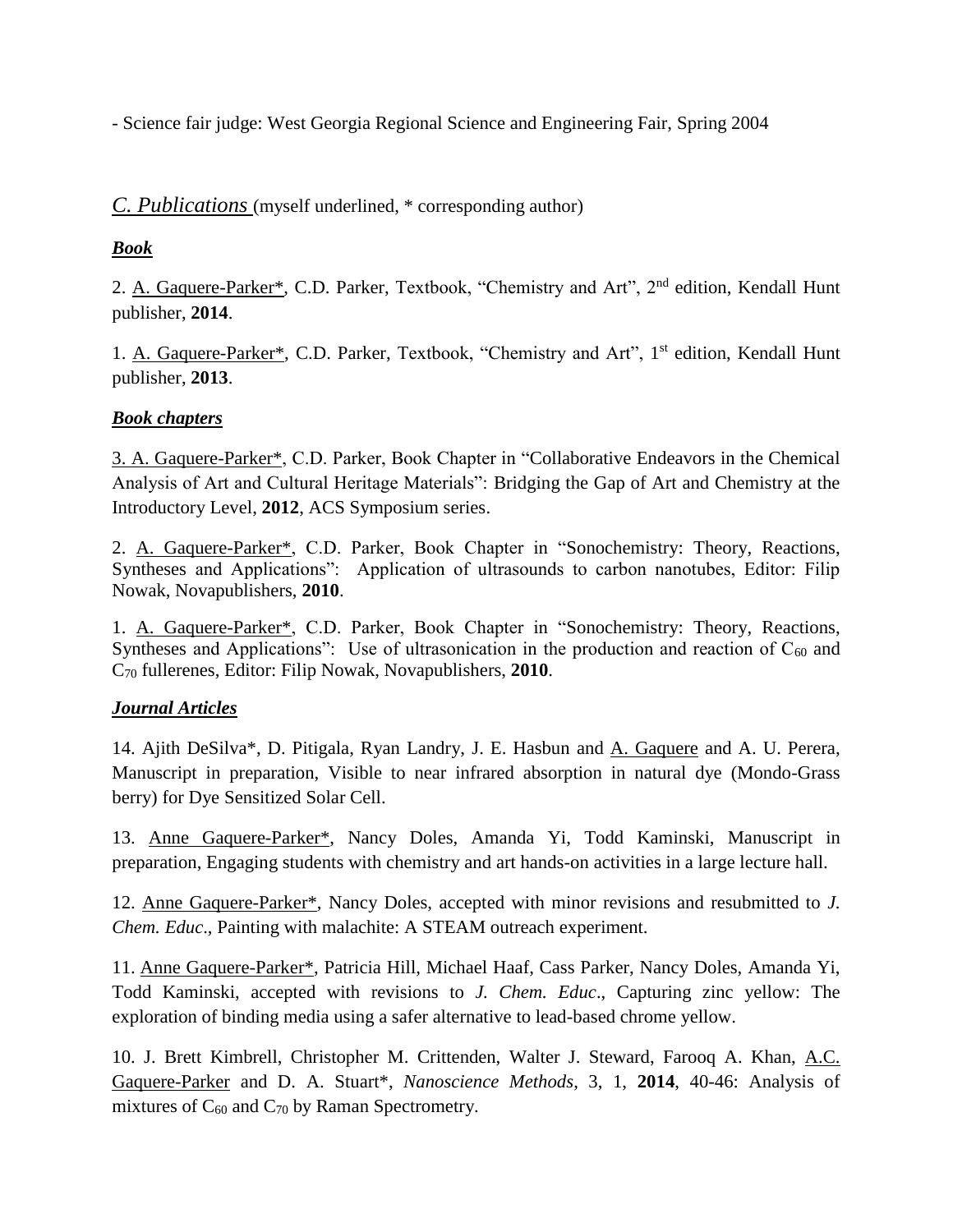- Science fair judge: West Georgia Regional Science and Engineering Fair, Spring 2004

### *C. Publications* (myself underlined, \* corresponding author)

### *Book*

2. A. Gaquere-Parker\*, C.D. Parker, Textbook, "Chemistry and Art", 2<sup>nd</sup> edition, Kendall Hunt publisher, **2014**.

1. A. Gaquere-Parker\*, C.D. Parker, Textbook, "Chemistry and Art", 1<sup>st</sup> edition, Kendall Hunt publisher, **2013**.

### *Book chapters*

3. A. Gaquere-Parker\*, C.D. Parker, Book Chapter in "Collaborative Endeavors in the Chemical Analysis of Art and Cultural Heritage Materials": Bridging the Gap of Art and Chemistry at the Introductory Level, **2012**, ACS Symposium series.

2. A. Gaquere-Parker\*, C.D. Parker, Book Chapter in ["Sonochemistry: Theory, Reactions,](javascript:I()  [Syntheses](javascript:I() and Applications": Application of ultrasounds to carbon nanotubes, Editor: Filip Nowak, Novapublishers, **2010**.

1. A. Gaquere-Parker\*, C.D. Parker, Book Chapter in ["Sonochemistry: Theory, Reactions,](javascript:I()  [Syntheses](javascript:I() and Applications": Use of ultrasonication in the production and reaction of  $C_{60}$  and C<sup>70</sup> fullerenes, Editor: Filip Nowak, Novapublishers, **2010**.

#### *Journal Articles*

14. Ajith DeSilva\*, D. Pitigala, Ryan Landry, J. E. Hasbun and A. Gaquere and A. U. Perera, Manuscript in preparation, Visible to near infrared absorption in natural dye (Mondo-Grass berry) for Dye Sensitized Solar Cell.

13. Anne Gaquere-Parker\*, Nancy Doles, Amanda Yi, Todd Kaminski, Manuscript in preparation, Engaging students with chemistry and art hands-on activities in a large lecture hall.

12. Anne Gaquere-Parker\*, Nancy Doles, accepted with minor revisions and resubmitted to *J. Chem. Educ*., Painting with malachite: A STEAM outreach experiment.

11. Anne Gaquere-Parker\*, Patricia Hill, Michael Haaf, Cass Parker, Nancy Doles, Amanda Yi, Todd Kaminski, accepted with revisions to *J. Chem. Educ*., Capturing zinc yellow: The exploration of binding media using a safer alternative to lead-based chrome yellow.

10. J. Brett Kimbrell, Christopher M. Crittenden, Walter J. Steward, Farooq A. Khan, A.C. Gaquere-Parker and D. A. Stuart\*, *Nanoscience Methods*, 3, 1, **2014**, 40-46: Analysis of mixtures of  $C_{60}$  and  $C_{70}$  by Raman Spectrometry.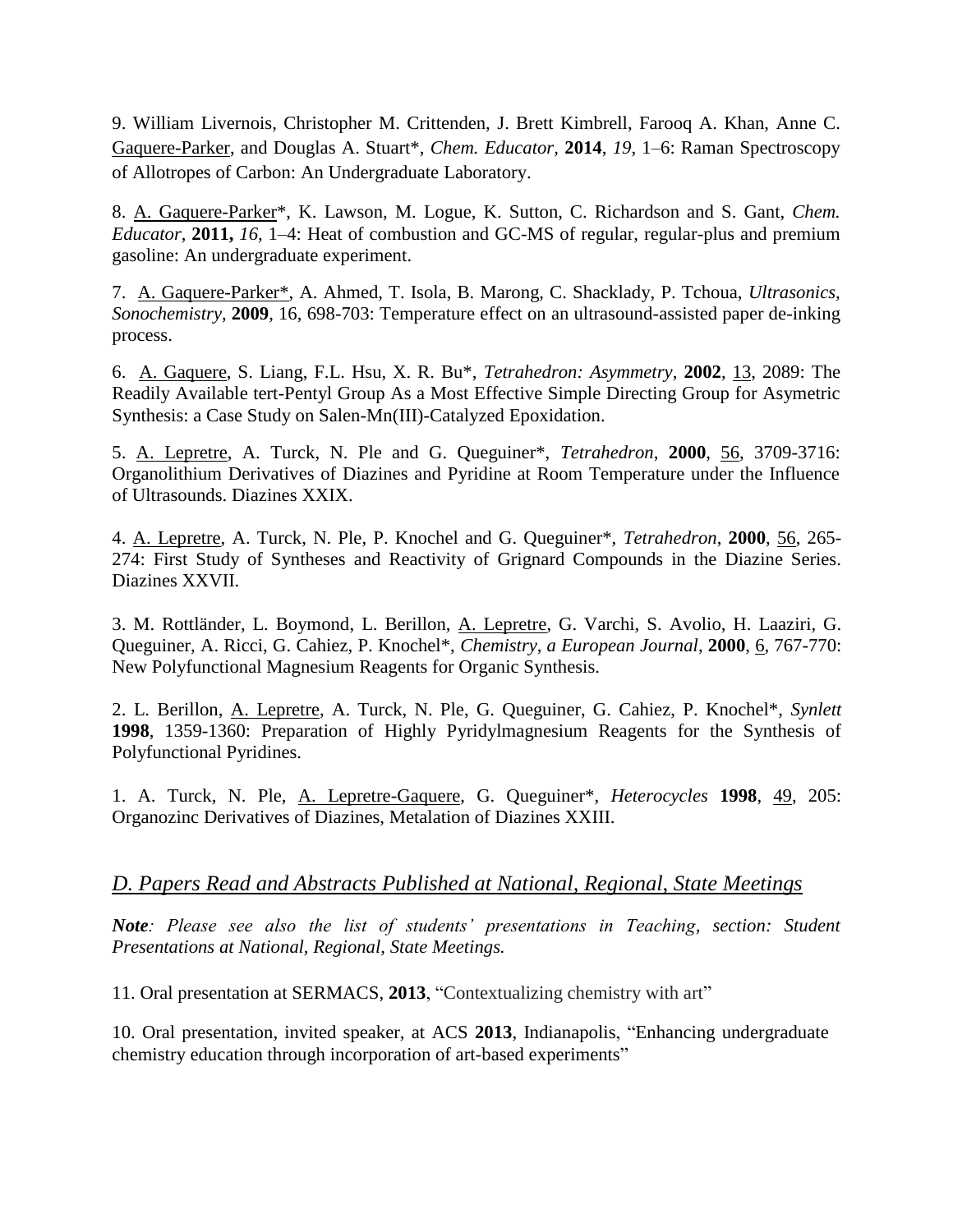9. William Livernois, Christopher M. Crittenden, J. Brett Kimbrell, Farooq A. Khan, Anne C. Gaquere-Parker, and Douglas A. Stuart\*, *Chem. Educator,* **2014**, *19*, 1–6: Raman Spectroscopy of Allotropes of Carbon: An Undergraduate Laboratory.

8. A. Gaquere-Parker\*, K. Lawson, M. Logue, K. Sutton, C. Richardson and S. Gant, *Chem. Educator*, **2011,** *16,* 1–4: Heat of combustion and GC-MS of regular, regular-plus and premium gasoline: An undergraduate experiment.

7. A. Gaquere-Parker\*, A. Ahmed, T. Isola, B. Marong, C. Shacklady, P. Tchoua, *Ultrasonics, Sonochemistry*, **2009**, 16, 698-703: Temperature effect on an ultrasound-assisted paper de-inking process.

6. A. Gaquere, S. Liang, F.L. Hsu, X. R. Bu\*, *Tetrahedron: Asymmetry*, **2002**, 13, 2089: The Readily Available tert-Pentyl Group As a Most Effective Simple Directing Group for Asymetric Synthesis: a Case Study on Salen-Mn(III)-Catalyzed Epoxidation.

5. A. Lepretre, A. Turck, N. Ple and G. Queguiner\*, *Tetrahedron*, **2000**, 56, 3709-3716: Organolithium Derivatives of Diazines and Pyridine at Room Temperature under the Influence of Ultrasounds. Diazines XXIX.

4. A. Lepretre, A. Turck, N. Ple, P. Knochel and G. Queguiner\*, *Tetrahedron*, **2000**, 56, 265- 274: First Study of Syntheses and Reactivity of Grignard Compounds in the Diazine Series. Diazines XXVII.

3. M. Rottländer, L. Boymond, L. Berillon, A. Lepretre, G. Varchi, S. Avolio, H. Laaziri, G. Queguiner, A. Ricci, G. Cahiez, P. Knochel\*, *Chemistry, a European Journal*, **2000**, 6, 767-770: New Polyfunctional Magnesium Reagents for Organic Synthesis.

2. L. Berillon, A. Lepretre, A. Turck, N. Ple, G. Queguiner, G. Cahiez, P. Knochel\*, *Synlett*  **1998**, 1359-1360: Preparation of Highly Pyridylmagnesium Reagents for the Synthesis of Polyfunctional Pyridines.

1. A. Turck, N. Ple, A. Lepretre-Gaquere, G. Queguiner\*, *Heterocycles* **1998**, 49, 205: Organozinc Derivatives of Diazines, Metalation of Diazines XXIII.

### *D. Papers Read and Abstracts Published at National, Regional, State Meetings*

*Note: Please see also the list of students' presentations in Teaching, section: Student Presentations at National, Regional, State Meetings.*

11. Oral presentation at SERMACS, **2013**, "Contextualizing chemistry with art"

10. Oral presentation, invited speaker, at ACS **2013**, Indianapolis, "Enhancing undergraduate chemistry education through incorporation of art-based experiments"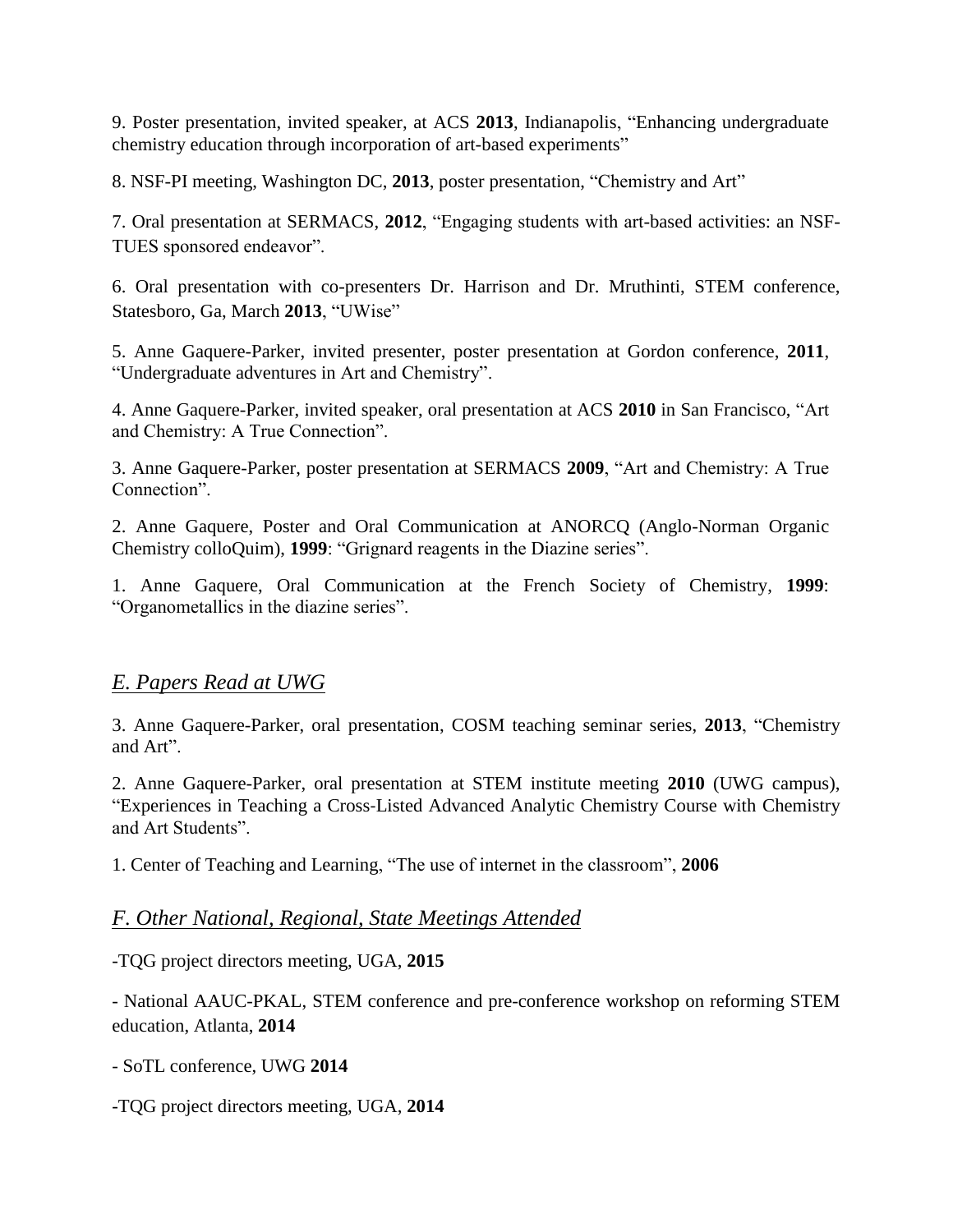9. Poster presentation, invited speaker, at ACS **2013**, Indianapolis, "Enhancing undergraduate chemistry education through incorporation of art-based experiments"

8. NSF-PI meeting, Washington DC, **2013**, poster presentation, "Chemistry and Art"

7. Oral presentation at SERMACS, **2012**, "Engaging students with art-based activities: an NSF-TUES sponsored endeavor".

6. Oral presentation with co-presenters Dr. Harrison and Dr. Mruthinti, STEM conference, Statesboro, Ga, March **2013**, "UWise"

5. Anne Gaquere-Parker, invited presenter, poster presentation at Gordon conference, **2011**, "Undergraduate adventures in Art and Chemistry".

4. Anne Gaquere-Parker, invited speaker, oral presentation at ACS **2010** in San Francisco, "Art and Chemistry: A True Connection".

3. Anne Gaquere-Parker, poster presentation at SERMACS **2009**, "Art and Chemistry: A True Connection".

2. Anne Gaquere, Poster and Oral Communication at ANORCQ (Anglo-Norman Organic Chemistry colloQuim), **1999**: "Grignard reagents in the Diazine series".

1. Anne Gaquere, Oral Communication at the French Society of Chemistry, **1999**: "Organometallics in the diazine series".

### *E. Papers Read at UWG*

3. Anne Gaquere-Parker, oral presentation, COSM teaching seminar series, **2013**, "Chemistry and Art".

2. Anne Gaquere-Parker, oral presentation at STEM institute meeting **2010** (UWG campus), "Experiences in Teaching a Cross‐Listed Advanced Analytic Chemistry Course with Chemistry and Art Students".

1. Center of Teaching and Learning, "The use of internet in the classroom", **2006**

#### *F. Other National, Regional, State Meetings Attended*

-TQG project directors meeting, UGA, **2015**

- National AAUC-PKAL, STEM conference and pre-conference workshop on reforming STEM education, Atlanta, **2014**

- SoTL conference, UWG **2014**

-TQG project directors meeting, UGA, **2014**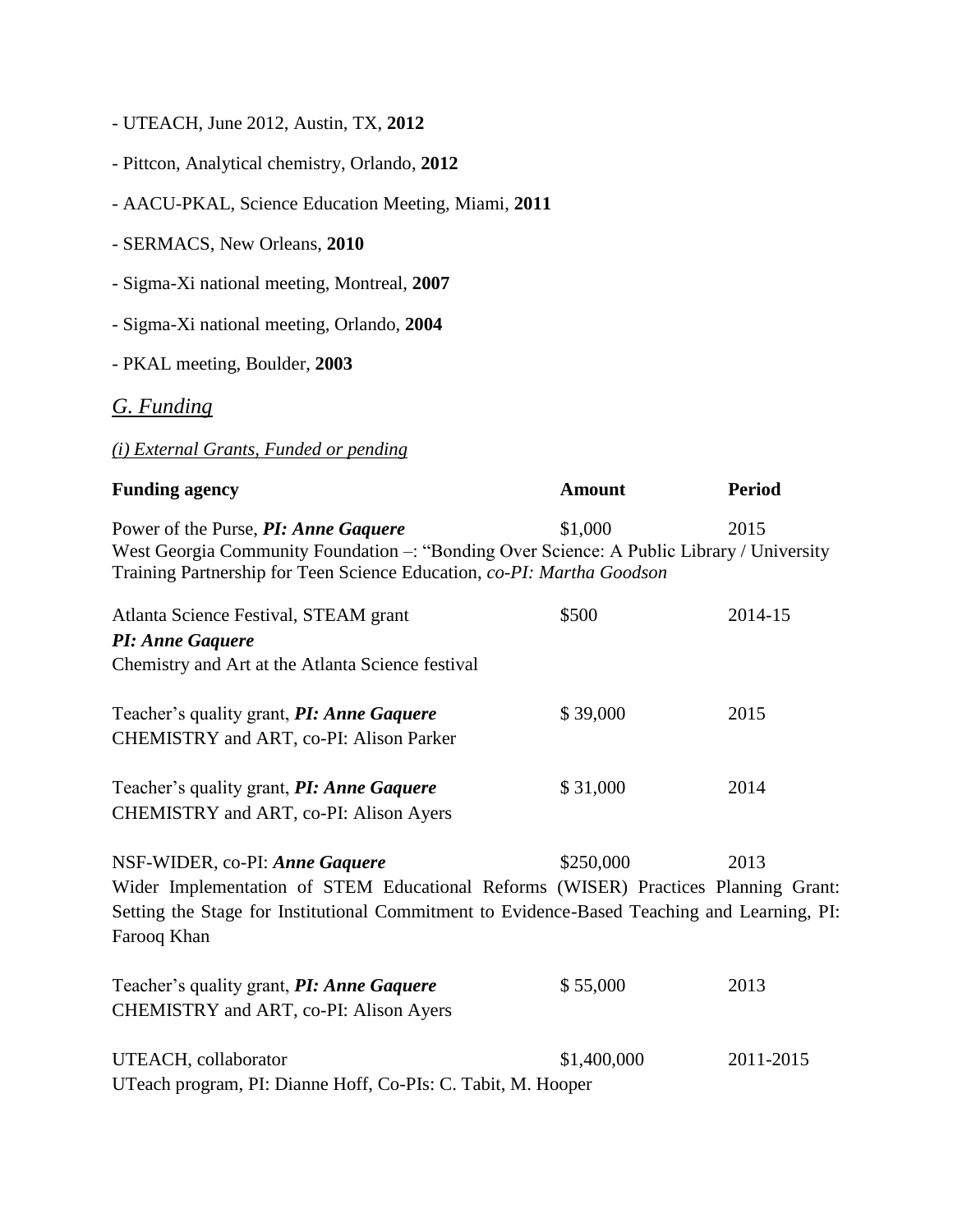- UTEACH, June 2012, Austin, TX, **2012**
- Pittcon, Analytical chemistry, Orlando, **2012**
- AACU-PKAL, Science Education Meeting, Miami, **2011**
- SERMACS, New Orleans, **2010**
- Sigma-Xi national meeting, Montreal, **2007**
- Sigma-Xi national meeting, Orlando, **2004**
- PKAL meeting, Boulder, **2003**

### *G. Funding*

## *(i) External Grants, Funded or pending*

| <b>Funding agency</b>                                                                                                                                                                                                              | <b>Amount</b> | <b>Period</b> |
|------------------------------------------------------------------------------------------------------------------------------------------------------------------------------------------------------------------------------------|---------------|---------------|
| Power of the Purse, PI: Anne Gaquere<br>West Georgia Community Foundation -: "Bonding Over Science: A Public Library / University<br>Training Partnership for Teen Science Education, co-PI: Martha Goodson                        | \$1,000       | 2015          |
| Atlanta Science Festival, STEAM grant<br>PI: Anne Gaquere<br>Chemistry and Art at the Atlanta Science festival                                                                                                                     | \$500         | 2014-15       |
| Teacher's quality grant, PI: Anne Gaquere<br>CHEMISTRY and ART, co-PI: Alison Parker                                                                                                                                               | \$39,000      | 2015          |
| Teacher's quality grant, PI: Anne Gaquere<br>CHEMISTRY and ART, co-PI: Alison Ayers                                                                                                                                                | \$31,000      | 2014          |
| NSF-WIDER, co-PI: Anne Gaquere<br>Wider Implementation of STEM Educational Reforms (WISER) Practices Planning Grant:<br>Setting the Stage for Institutional Commitment to Evidence-Based Teaching and Learning, PI:<br>Farooq Khan | \$250,000     | 2013          |
| Teacher's quality grant, <b>PI: Anne Gaquere</b><br>CHEMISTRY and ART, co-PI: Alison Ayers                                                                                                                                         | \$55,000      | 2013          |
| UTEACH, collaborator<br>UTeach program, PI: Dianne Hoff, Co-PIs: C. Tabit, M. Hooper                                                                                                                                               | \$1,400,000   | 2011-2015     |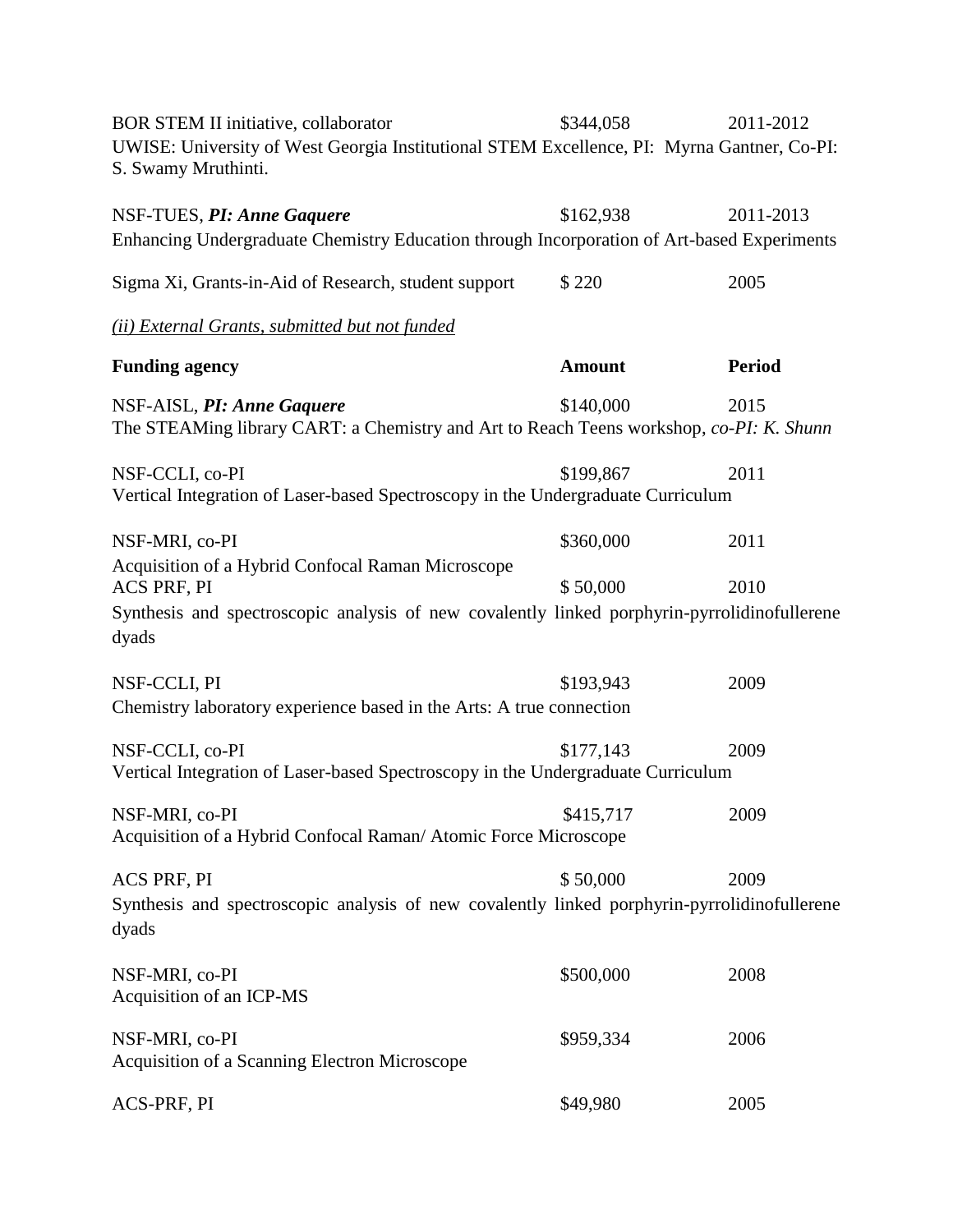BOR STEM II initiative, collaborator \$344,058 2011-2012 UWISE: University of West Georgia Institutional STEM Excellence, PI: Myrna Gantner, Co-PI: S. Swamy Mruthinti.

| NSF-TUES, PI: Anne Gaquere                                                                                                                                                | \$162,938     | 2011-2013     |
|---------------------------------------------------------------------------------------------------------------------------------------------------------------------------|---------------|---------------|
| Enhancing Undergraduate Chemistry Education through Incorporation of Art-based Experiments                                                                                |               |               |
| Sigma Xi, Grants-in-Aid of Research, student support                                                                                                                      | \$220         | 2005          |
| (ii) External Grants, submitted but not funded                                                                                                                            |               |               |
| <b>Funding agency</b>                                                                                                                                                     | <b>Amount</b> | <b>Period</b> |
| NSF-AISL, PI: Anne Gaquere<br>The STEAMing library CART: a Chemistry and Art to Reach Teens workshop, co-PI: K. Shunn                                                     | \$140,000     | 2015          |
| NSF-CCLI, co-PI<br>Vertical Integration of Laser-based Spectroscopy in the Undergraduate Curriculum                                                                       | \$199,867     | 2011          |
| NSF-MRI, co-PI                                                                                                                                                            | \$360,000     | 2011          |
| Acquisition of a Hybrid Confocal Raman Microscope<br>ACS PRF, PI<br>Synthesis and spectroscopic analysis of new covalently linked porphyrin-pyrrolidinofullerene<br>dyads | \$50,000      | 2010          |
| NSF-CCLI, PI<br>Chemistry laboratory experience based in the Arts: A true connection                                                                                      | \$193,943     | 2009          |
| NSF-CCLI, co-PI<br>Vertical Integration of Laser-based Spectroscopy in the Undergraduate Curriculum                                                                       | \$177,143     | 2009          |
| NSF-MRI, co-PI<br>Acquisition of a Hybrid Confocal Raman/ Atomic Force Microscope                                                                                         | \$415,717     | 2009          |
| ACS PRF, PI<br>Synthesis and spectroscopic analysis of new covalently linked porphyrin-pyrrolidinofullerene<br>dyads                                                      | \$50,000      | 2009          |
| NSF-MRI, co-PI<br>Acquisition of an ICP-MS                                                                                                                                | \$500,000     | 2008          |
| NSF-MRI, co-PI<br>Acquisition of a Scanning Electron Microscope                                                                                                           | \$959,334     | 2006          |
| ACS-PRF, PI                                                                                                                                                               | \$49,980      | 2005          |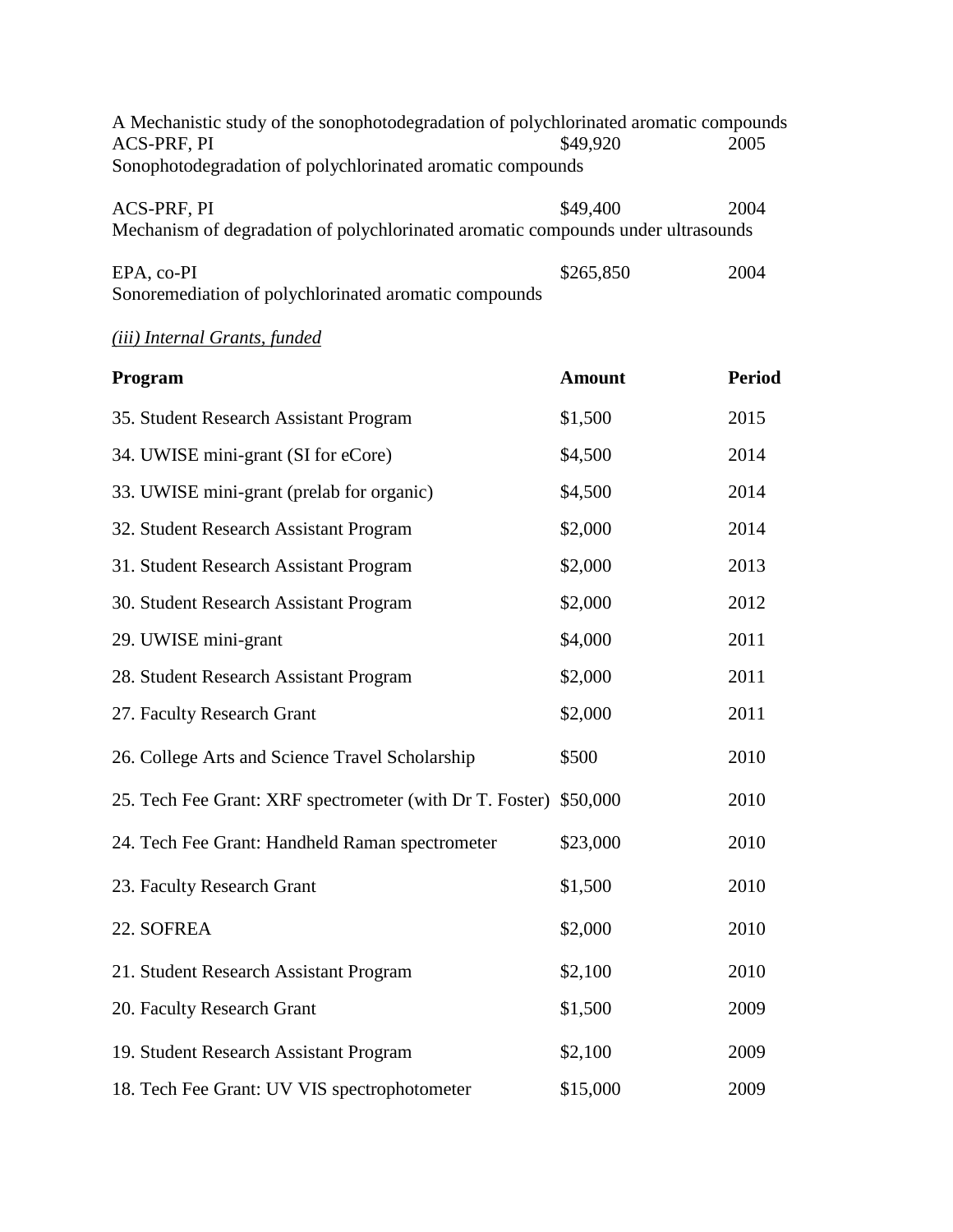| A Mechanistic study of the sonophotodegradation of polychlorinated aromatic compounds<br>ACS-PRF, PI<br>Sonophotodegradation of polychlorinated aromatic compounds | \$49,920      | 2005          |
|--------------------------------------------------------------------------------------------------------------------------------------------------------------------|---------------|---------------|
| ACS-PRF, PI<br>Mechanism of degradation of polychlorinated aromatic compounds under ultrasounds                                                                    | \$49,400      | 2004          |
| EPA, co-PI<br>Sonoremediation of polychlorinated aromatic compounds                                                                                                | \$265,850     | 2004          |
| (iii) Internal Grants, funded                                                                                                                                      |               |               |
| Program                                                                                                                                                            | <b>Amount</b> | <b>Period</b> |
| 35. Student Research Assistant Program                                                                                                                             | \$1,500       | 2015          |
| 34. UWISE mini-grant (SI for eCore)                                                                                                                                | \$4,500       | 2014          |
| 33. UWISE mini-grant (prelab for organic)                                                                                                                          | \$4,500       | 2014          |
| 32. Student Research Assistant Program                                                                                                                             | \$2,000       | 2014          |
| 31. Student Research Assistant Program                                                                                                                             | \$2,000       | 2013          |
| 30. Student Research Assistant Program                                                                                                                             | \$2,000       | 2012          |
| 29. UWISE mini-grant                                                                                                                                               | \$4,000       | 2011          |
| 28. Student Research Assistant Program                                                                                                                             | \$2,000       | 2011          |
| 27. Faculty Research Grant                                                                                                                                         | \$2,000       | 2011          |
| 26. College Arts and Science Travel Scholarship                                                                                                                    | \$500         | 2010          |
| 25. Tech Fee Grant: XRF spectrometer (with Dr T. Foster) \$50,000                                                                                                  |               | 2010          |
| 24. Tech Fee Grant: Handheld Raman spectrometer                                                                                                                    | \$23,000      | 2010          |
| 23. Faculty Research Grant                                                                                                                                         | \$1,500       | 2010          |
| 22. SOFREA                                                                                                                                                         | \$2,000       | 2010          |
| 21. Student Research Assistant Program                                                                                                                             | \$2,100       | 2010          |
| 20. Faculty Research Grant                                                                                                                                         | \$1,500       | 2009          |
| 19. Student Research Assistant Program                                                                                                                             | \$2,100       | 2009          |
| 18. Tech Fee Grant: UV VIS spectrophotometer                                                                                                                       | \$15,000      | 2009          |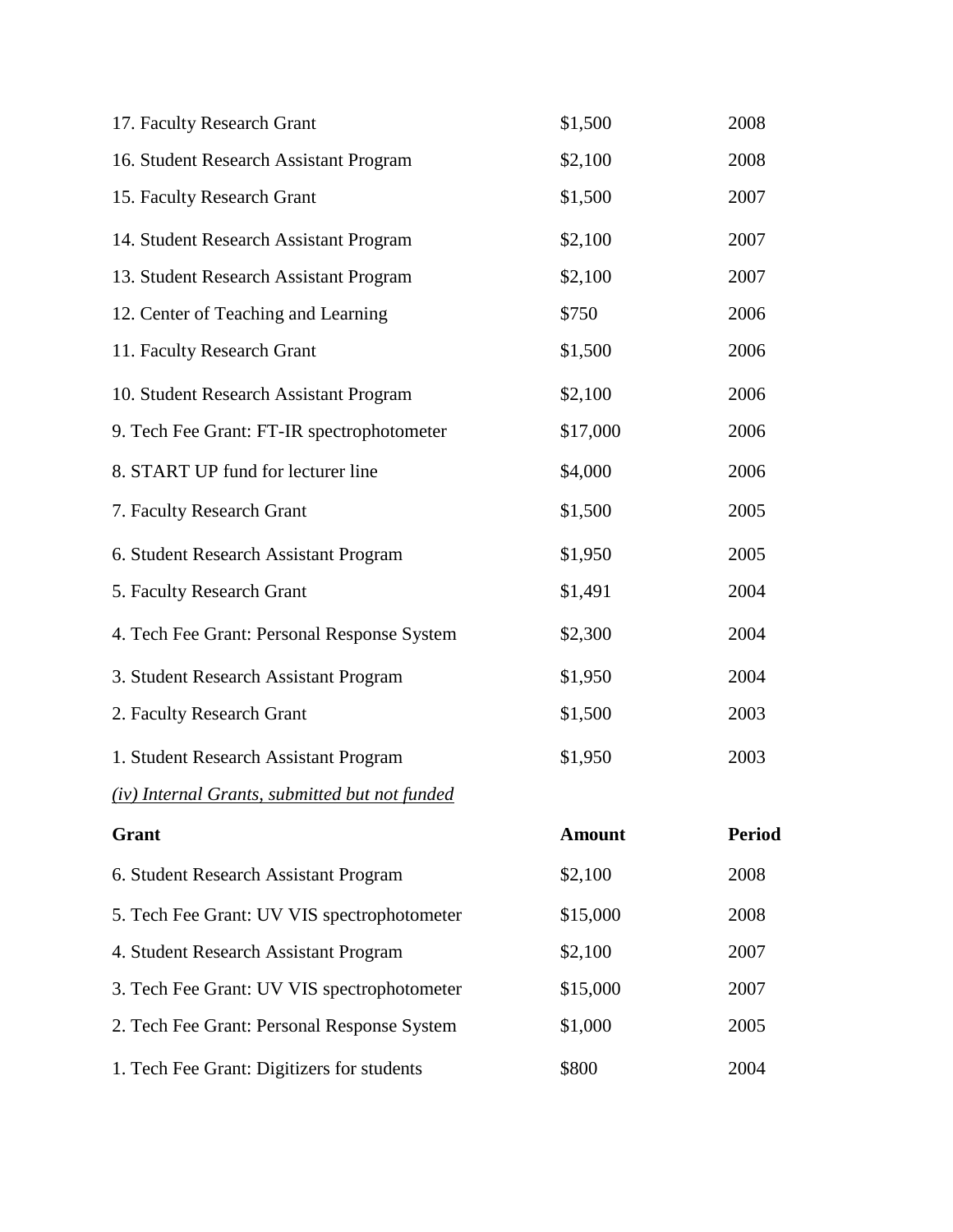| 17. Faculty Research Grant                     | \$1,500       | 2008          |
|------------------------------------------------|---------------|---------------|
| 16. Student Research Assistant Program         | \$2,100       | 2008          |
| 15. Faculty Research Grant                     | \$1,500       | 2007          |
| 14. Student Research Assistant Program         | \$2,100       | 2007          |
| 13. Student Research Assistant Program         | \$2,100       | 2007          |
| 12. Center of Teaching and Learning            | \$750         | 2006          |
| 11. Faculty Research Grant                     | \$1,500       | 2006          |
| 10. Student Research Assistant Program         | \$2,100       | 2006          |
| 9. Tech Fee Grant: FT-IR spectrophotometer     | \$17,000      | 2006          |
| 8. START UP fund for lecturer line             | \$4,000       | 2006          |
| 7. Faculty Research Grant                      | \$1,500       | 2005          |
| 6. Student Research Assistant Program          | \$1,950       | 2005          |
| 5. Faculty Research Grant                      | \$1,491       | 2004          |
| 4. Tech Fee Grant: Personal Response System    | \$2,300       | 2004          |
| 3. Student Research Assistant Program          | \$1,950       | 2004          |
| 2. Faculty Research Grant                      | \$1,500       | 2003          |
| 1. Student Research Assistant Program          | \$1,950       | 2003          |
| (iv) Internal Grants, submitted but not funded |               |               |
| Grant                                          | <b>Amount</b> | <b>Period</b> |
| 6. Student Research Assistant Program          | \$2,100       | 2008          |
| 5. Tech Fee Grant: UV VIS spectrophotometer    | \$15,000      | 2008          |
| 4. Student Research Assistant Program          | \$2,100       | 2007          |
| 3. Tech Fee Grant: UV VIS spectrophotometer    | \$15,000      | 2007          |
| 2. Tech Fee Grant: Personal Response System    | \$1,000       | 2005          |
| 1. Tech Fee Grant: Digitizers for students     | \$800         | 2004          |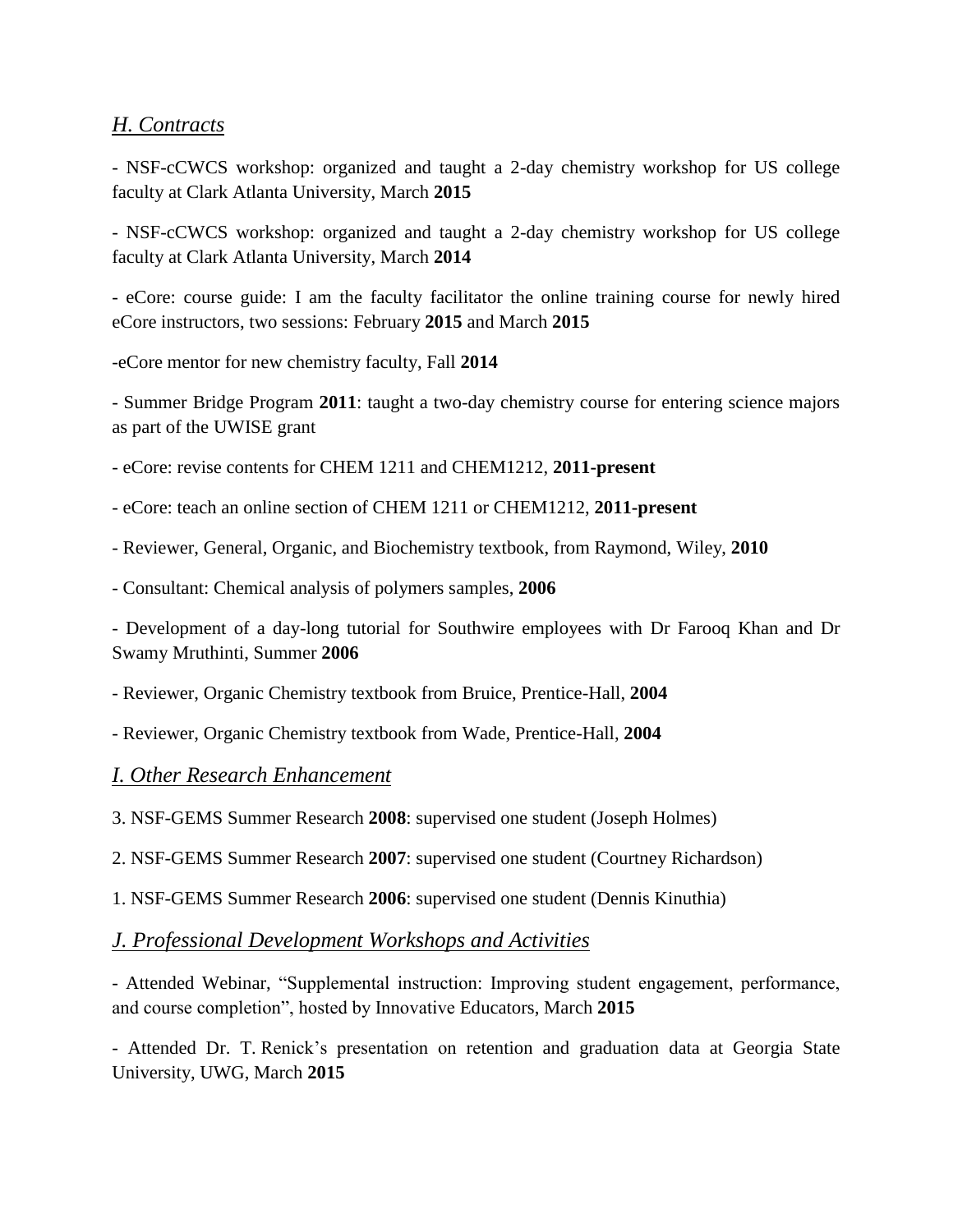## *H. Contracts*

- NSF-cCWCS workshop: organized and taught a 2-day chemistry workshop for US college faculty at Clark Atlanta University, March **2015**

- NSF-cCWCS workshop: organized and taught a 2-day chemistry workshop for US college faculty at Clark Atlanta University, March **2014**

- eCore: course guide: I am the faculty facilitator the online training course for newly hired eCore instructors, two sessions: February **2015** and March **2015**

-eCore mentor for new chemistry faculty, Fall **2014**

- Summer Bridge Program **2011**: taught a two-day chemistry course for entering science majors as part of the UWISE grant

- eCore: revise contents for CHEM 1211 and CHEM1212, **2011-present**

- eCore: teach an online section of CHEM 1211 or CHEM1212, **2011-present**

- Reviewer, General, Organic, and Biochemistry textbook, from Raymond, Wiley, **2010**

- Consultant: Chemical analysis of polymers samples, **2006**

- Development of a day-long tutorial for Southwire employees with Dr Farooq Khan and Dr Swamy Mruthinti, Summer **2006**

- Reviewer, Organic Chemistry textbook from Bruice, Prentice-Hall, **2004**

- Reviewer, Organic Chemistry textbook from Wade, Prentice-Hall, **2004**

#### *I. Other Research Enhancement*

3. NSF-GEMS Summer Research **2008**: supervised one student (Joseph Holmes)

2. NSF-GEMS Summer Research **2007**: supervised one student (Courtney Richardson)

1. NSF-GEMS Summer Research **2006**: supervised one student (Dennis Kinuthia)

#### *J. Professional Development Workshops and Activities*

- Attended Webinar, "Supplemental instruction: Improving student engagement, performance, and course completion", hosted by Innovative Educators, March **2015**

- Attended Dr. T. Renick's presentation on retention and graduation data at Georgia State University, UWG, March **2015**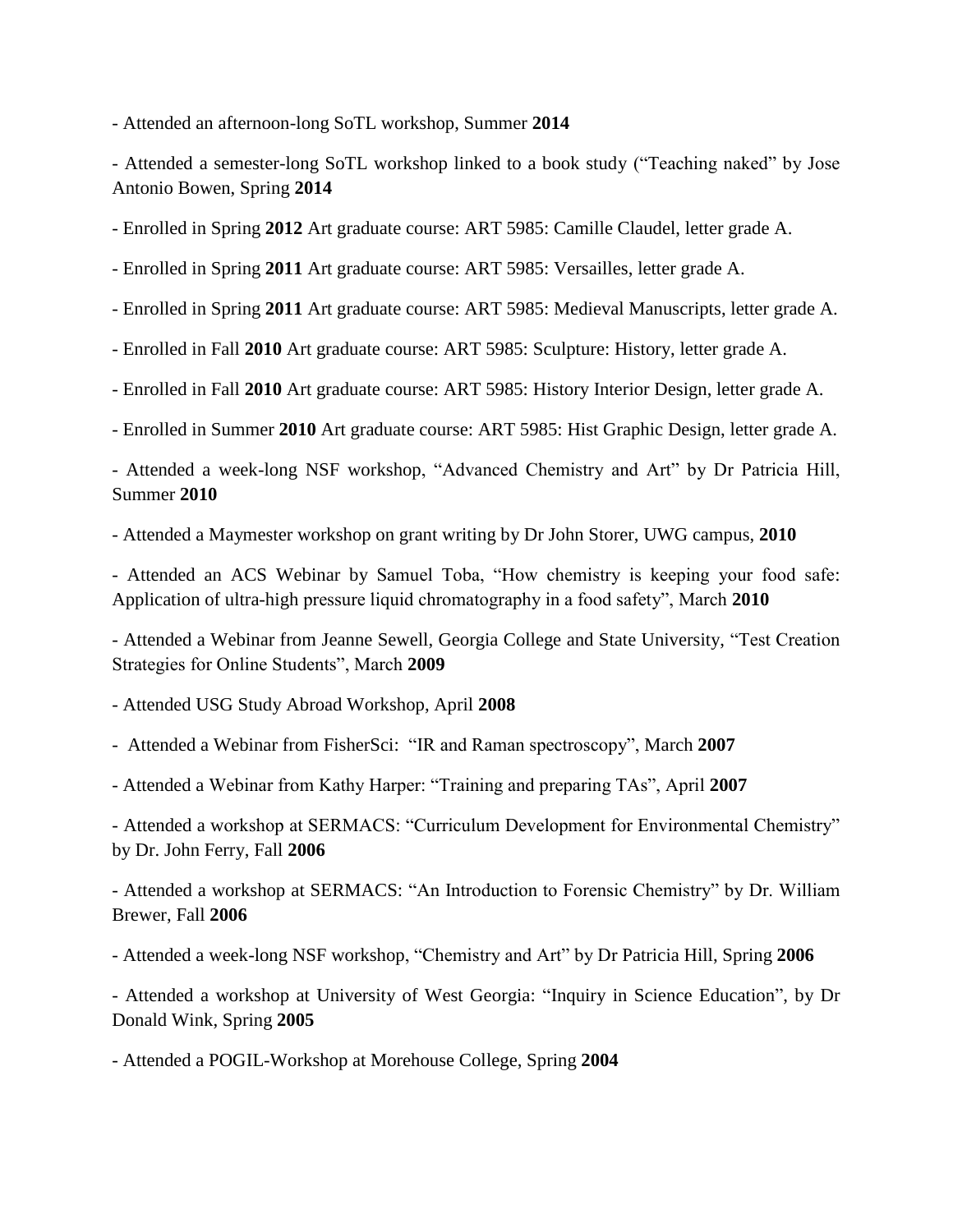- Attended an afternoon-long SoTL workshop, Summer **2014**

- Attended a semester-long SoTL workshop linked to a book study ("Teaching naked" by Jose Antonio Bowen, Spring **2014**

- Enrolled in Spring **2012** Art graduate course: ART 5985: Camille Claudel, letter grade A.

- Enrolled in Spring **2011** Art graduate course: ART 5985: Versailles, letter grade A.

- Enrolled in Spring **2011** Art graduate course: ART 5985: Medieval Manuscripts, letter grade A.

- Enrolled in Fall **2010** Art graduate course: ART 5985: Sculpture: History, letter grade A.

- Enrolled in Fall **2010** Art graduate course: ART 5985: History Interior Design, letter grade A.

- Enrolled in Summer **2010** Art graduate course: ART 5985: Hist Graphic Design, letter grade A.

- Attended a week-long NSF workshop, "Advanced Chemistry and Art" by Dr Patricia Hill, Summer **2010**

- Attended a Maymester workshop on grant writing by Dr John Storer, UWG campus, **2010**

- Attended an ACS Webinar by Samuel Toba, "How chemistry is keeping your food safe: Application of ultra-high pressure liquid chromatography in a food safety", March **2010**

- Attended a Webinar from Jeanne Sewell, Georgia College and State University, "Test Creation Strategies for Online Students", March **2009**

- Attended USG Study Abroad Workshop, April **2008**

- Attended a Webinar from FisherSci: "IR and Raman spectroscopy", March **2007**

- Attended a Webinar from Kathy Harper: "Training and preparing TAs", April **2007**

- Attended a workshop at SERMACS: "Curriculum Development for Environmental Chemistry" by Dr. John Ferry, Fall **2006**

- Attended a workshop at SERMACS: "An Introduction to Forensic Chemistry" by Dr. William Brewer, Fall **2006**

- Attended a week-long NSF workshop, "Chemistry and Art" by Dr Patricia Hill, Spring **2006**

- Attended a workshop at University of West Georgia: "Inquiry in Science Education", by Dr Donald Wink, Spring **2005**

- Attended a POGIL-Workshop at Morehouse College, Spring **2004**